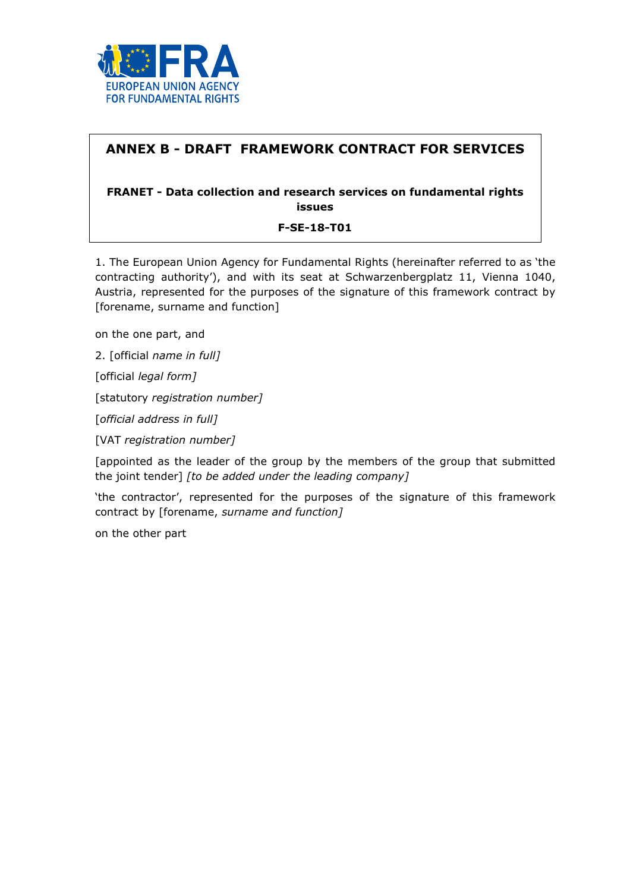

# ANNEX B - DRAFT FRAMEWORK CONTRACT FOR SERVICES

## FRANET - Data collection and research services on fundamental rights issues

#### F-SE-18-T01

1. The European Union Agency for Fundamental Rights (hereinafter referred to as 'the contracting authority'), and with its seat at Schwarzenbergplatz 11, Vienna 1040, Austria, represented for the purposes of the signature of this framework contract by [forename, surname and function]

on the one part, and

2. [official name in full]

[official legal form]

[statutory registration number]

[official address in full]

[VAT registration number]

[appointed as the leader of the group by the members of the group that submitted the joint tender] [to be added under the leading company]

'the contractor', represented for the purposes of the signature of this framework contract by [forename, surname and function]

on the other part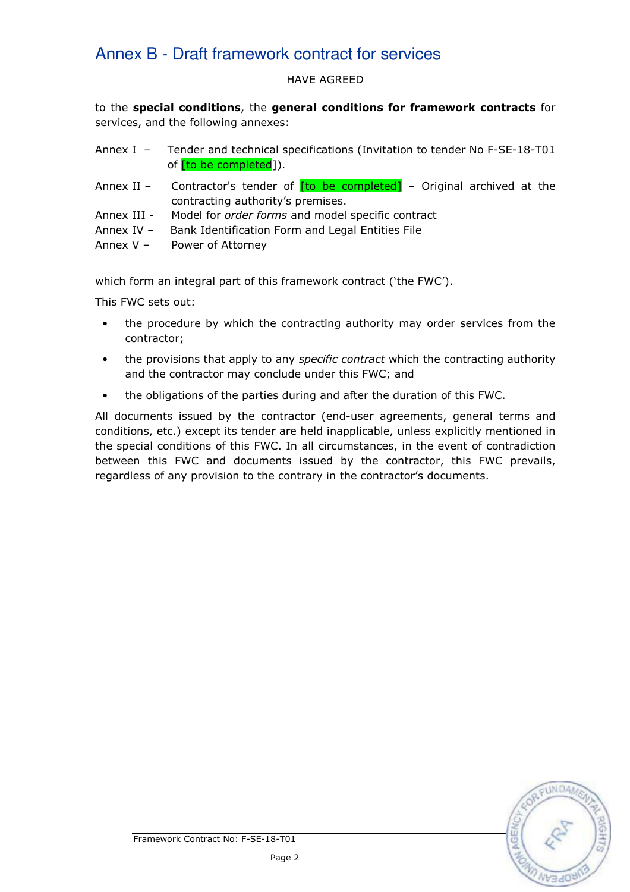#### HAVE AGREED

to the special conditions, the general conditions for framework contracts for services, and the following annexes:

- Annex I Tender and technical specifications (Invitation to tender No F-SE-18-T01 of *[to be completed]*).
- Annex II Contractor's tender of  $[to$  be completed<sup> $]$ </sup> Original archived at the contracting authority's premises.
- Annex III Model for *order forms* and model specific contract
- Annex IV Bank Identification Form and Legal Entities File

Annex V – Power of Attorney

which form an integral part of this framework contract ('the FWC').

This FWC sets out:

- the procedure by which the contracting authority may order services from the contractor;
- the provisions that apply to any *specific contract* which the contracting authority and the contractor may conclude under this FWC; and
- the obligations of the parties during and after the duration of this FWC.

All documents issued by the contractor (end-user agreements, general terms and conditions, etc.) except its tender are held inapplicable, unless explicitly mentioned in the special conditions of this FWC. In all circumstances, in the event of contradiction between this FWC and documents issued by the contractor, this FWC prevails, regardless of any provision to the contrary in the contractor's documents.

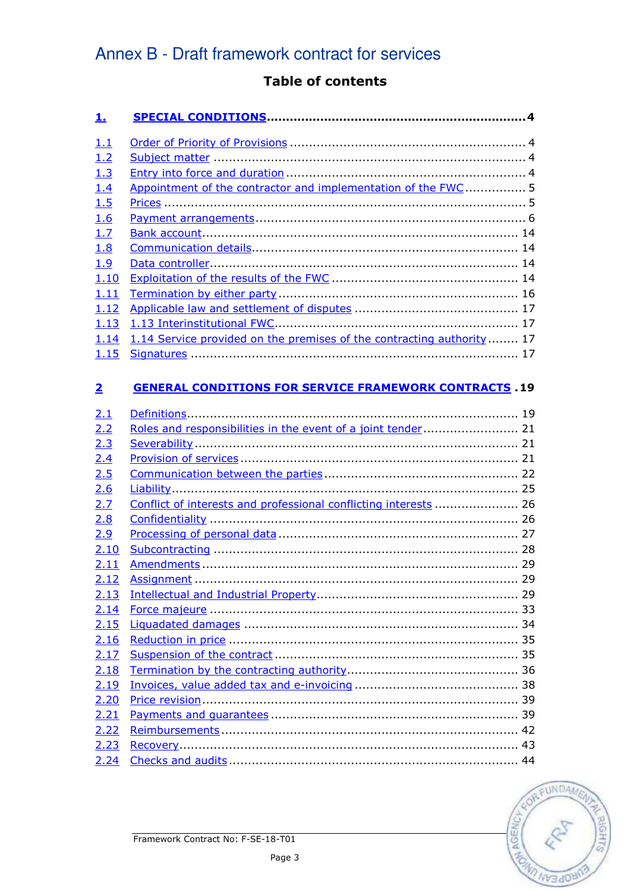# Table of contents

| <u>1.</u>               |                                                                        |
|-------------------------|------------------------------------------------------------------------|
| <u>1.1</u>              |                                                                        |
| 1.2                     |                                                                        |
| 1.3                     |                                                                        |
| 1.4                     | Appointment of the contractor and implementation of the FWC  5         |
| 1.5                     |                                                                        |
| 1.6                     |                                                                        |
| 1.7                     |                                                                        |
| 1.8                     |                                                                        |
| 1.9                     |                                                                        |
| 1.10                    |                                                                        |
| 1.11                    |                                                                        |
| 1.12                    |                                                                        |
| 1.13                    |                                                                        |
| 1.14                    | 1.14 Service provided on the premises of the contracting authority  17 |
| 1.15                    |                                                                        |
| $\overline{\mathbf{2}}$ | <b>GENERAL CONDITIONS FOR SERVICE FRAMEWORK CONTRACTS 19</b>           |
| 2.1                     |                                                                        |
| 2.2                     | Roles and responsibilities in the event of a joint tender 21           |
| 2.3                     |                                                                        |
| 2.4                     |                                                                        |
| 2.5                     |                                                                        |
| 2.6                     |                                                                        |
| 2.7                     | Conflict of interests and professional conflicting interests  26       |
| 2.8                     |                                                                        |
| 2.9                     |                                                                        |
| 2.10                    |                                                                        |
| 2.11                    |                                                                        |
| 2.12                    |                                                                        |
| 2.13                    |                                                                        |
| 2.14                    |                                                                        |
| 2.15                    |                                                                        |
| 2.16                    |                                                                        |
| 2.17                    |                                                                        |
| 2.18                    |                                                                        |
| 2.19                    |                                                                        |
| 2.20                    |                                                                        |
| 2.21                    |                                                                        |
| 2.22                    |                                                                        |
| 2.23                    |                                                                        |
| 2.24                    |                                                                        |

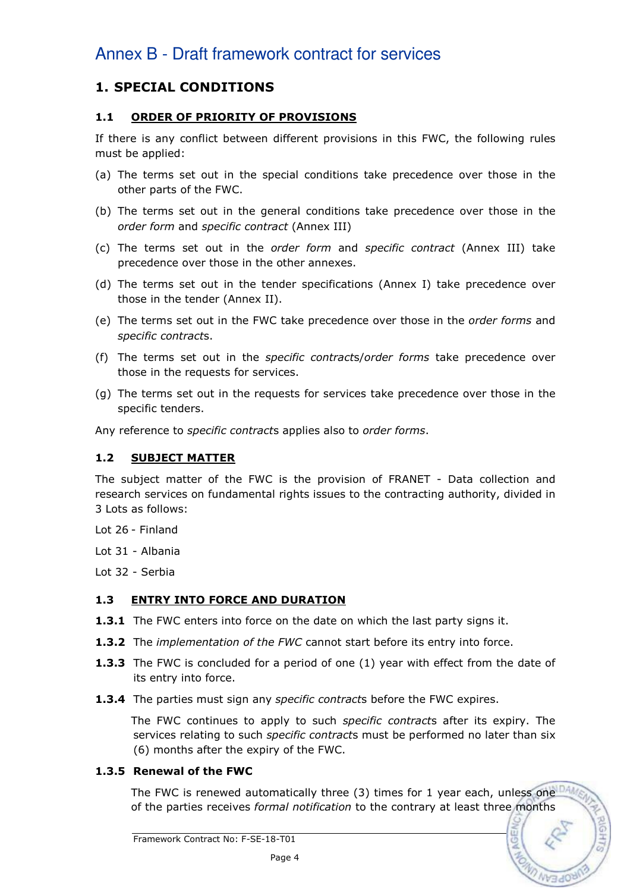# 1. SPECIAL CONDITIONS

# 1.1 ORDER OF PRIORITY OF PROVISIONS

If there is any conflict between different provisions in this FWC, the following rules must be applied:

- (a) The terms set out in the special conditions take precedence over those in the other parts of the FWC.
- (b) The terms set out in the general conditions take precedence over those in the order form and specific contract (Annex III)
- (c) The terms set out in the order form and specific contract (Annex III) take precedence over those in the other annexes.
- (d) The terms set out in the tender specifications (Annex I) take precedence over those in the tender (Annex II).
- (e) The terms set out in the FWC take precedence over those in the order forms and specific contracts.
- (f) The terms set out in the specific contracts/order forms take precedence over those in the requests for services.
- (g) The terms set out in the requests for services take precedence over those in the specific tenders.

Any reference to *specific contracts* applies also to *order forms*.

#### 1.2 SUBJECT MATTER

The subject matter of the FWC is the provision of FRANET - Data collection and research services on fundamental rights issues to the contracting authority, divided in 3 Lots as follows:

- Lot 26 Finland
- Lot 31 Albania
- Lot 32 Serbia

## 1.3 ENTRY INTO FORCE AND DURATION

- **1.3.1** The FWC enters into force on the date on which the last party signs it.
- **1.3.2** The *implementation of the FWC* cannot start before its entry into force.
- **1.3.3** The FWC is concluded for a period of one (1) year with effect from the date of its entry into force.
- **1.3.4** The parties must sign any *specific contracts* before the FWC expires.

The FWC continues to apply to such *specific contracts* after its expiry. The services relating to such specific contracts must be performed no later than six (6) months after the expiry of the FWC.

## 1.3.5 Renewal of the FWC

The FWC is renewed automatically three (3) times for 1 year each, unless one  $DA$ of the parties receives formal notification to the contrary at least three months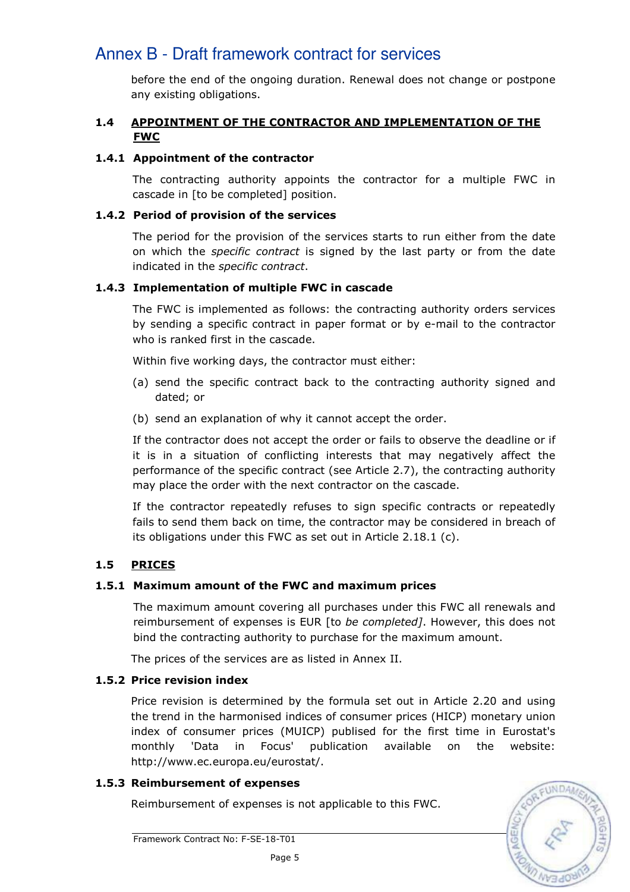before the end of the ongoing duration. Renewal does not change or postpone any existing obligations.

### 1.4 APPOINTMENT OF THE CONTRACTOR AND IMPLEMENTATION OF THE FWC

### 1.4.1 Appointment of the contractor

The contracting authority appoints the contractor for a multiple FWC in cascade in [to be completed] position.

#### 1.4.2 Period of provision of the services

The period for the provision of the services starts to run either from the date on which the *specific contract* is signed by the last party or from the date indicated in the specific contract.

#### 1.4.3 Implementation of multiple FWC in cascade

The FWC is implemented as follows: the contracting authority orders services by sending a specific contract in paper format or by e-mail to the contractor who is ranked first in the cascade.

Within five working days, the contractor must either:

- (a) send the specific contract back to the contracting authority signed and dated; or
- (b) send an explanation of why it cannot accept the order.

If the contractor does not accept the order or fails to observe the deadline or if it is in a situation of conflicting interests that may negatively affect the performance of the specific contract (see Article 2.7), the contracting authority may place the order with the next contractor on the cascade.

If the contractor repeatedly refuses to sign specific contracts or repeatedly fails to send them back on time, the contractor may be considered in breach of its obligations under this FWC as set out in Article 2.18.1 (c).

# 1.5 PRICES

## 1.5.1 Maximum amount of the FWC and maximum prices

The maximum amount covering all purchases under this FWC all renewals and reimbursement of expenses is EUR [to be completed]. However, this does not bind the contracting authority to purchase for the maximum amount.

The prices of the services are as listed in Annex II.

## 1.5.2 Price revision index

Price revision is determined by the formula set out in Article 2.20 and using the trend in the harmonised indices of consumer prices (HICP) monetary union index of consumer prices (MUICP) publised for the first time in Eurostat's monthly 'Data in Focus' publication available on the website: http://www.ec.europa.eu/eurostat/.

## 1.5.3 Reimbursement of expenses

Reimbursement of expenses is not applicable to this FWC.

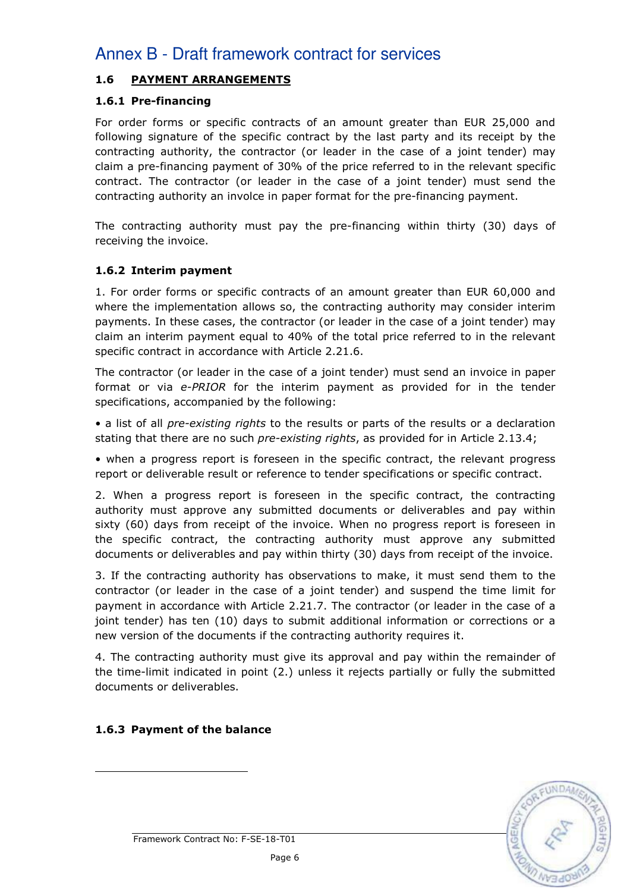# 1.6 PAYMENT ARRANGEMENTS

# 1.6.1 Pre-financing

For order forms or specific contracts of an amount greater than EUR 25,000 and following signature of the specific contract by the last party and its receipt by the contracting authority, the contractor (or leader in the case of a joint tender) may claim a pre-financing payment of 30% of the price referred to in the relevant specific contract. The contractor (or leader in the case of a joint tender) must send the contracting authority an involce in paper format for the pre-financing payment.

The contracting authority must pay the pre-financing within thirty (30) days of receiving the invoice.

# 1.6.2 Interim payment

1. For order forms or specific contracts of an amount greater than EUR 60,000 and where the implementation allows so, the contracting authority may consider interim payments. In these cases, the contractor (or leader in the case of a joint tender) may claim an interim payment equal to 40% of the total price referred to in the relevant specific contract in accordance with Article 2.21.6.

The contractor (or leader in the case of a joint tender) must send an invoice in paper format or via e-PRIOR for the interim payment as provided for in the tender specifications, accompanied by the following:

• a list of all *pre-existing rights* to the results or parts of the results or a declaration stating that there are no such *pre-existing rights*, as provided for in Article 2.13.4;

• when a progress report is foreseen in the specific contract, the relevant progress report or deliverable result or reference to tender specifications or specific contract.

2. When a progress report is foreseen in the specific contract, the contracting authority must approve any submitted documents or deliverables and pay within sixty (60) days from receipt of the invoice. When no progress report is foreseen in the specific contract, the contracting authority must approve any submitted documents or deliverables and pay within thirty (30) days from receipt of the invoice.

3. If the contracting authority has observations to make, it must send them to the contractor (or leader in the case of a joint tender) and suspend the time limit for payment in accordance with Article 2.21.7. The contractor (or leader in the case of a joint tender) has ten (10) days to submit additional information or corrections or a new version of the documents if the contracting authority requires it.

4. The contracting authority must give its approval and pay within the remainder of the time-limit indicated in point (2.) unless it rejects partially or fully the submitted documents or deliverables.

## 1.6.3 Payment of the balance



Framework Contract No: F-SE-18-T01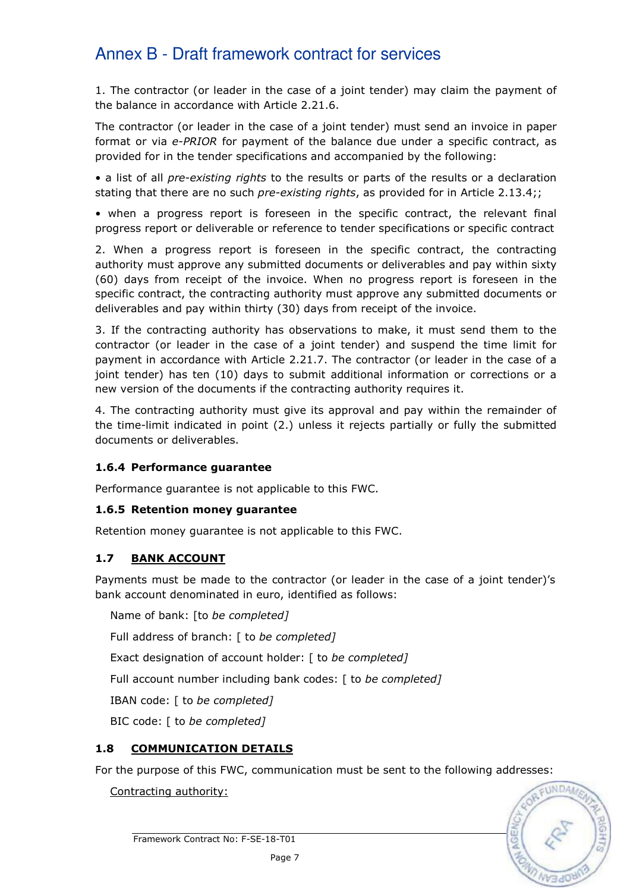1. The contractor (or leader in the case of a joint tender) may claim the payment of the balance in accordance with Article 2.21.6.

The contractor (or leader in the case of a joint tender) must send an invoice in paper format or via e-PRIOR for payment of the balance due under a specific contract, as provided for in the tender specifications and accompanied by the following:

• a list of all *pre-existing rights* to the results or parts of the results or a declaration stating that there are no such *pre-existing rights*, as provided for in Article 2.13.4;;

• when a progress report is foreseen in the specific contract, the relevant final progress report or deliverable or reference to tender specifications or specific contract

2. When a progress report is foreseen in the specific contract, the contracting authority must approve any submitted documents or deliverables and pay within sixty (60) days from receipt of the invoice. When no progress report is foreseen in the specific contract, the contracting authority must approve any submitted documents or deliverables and pay within thirty (30) days from receipt of the invoice.

3. If the contracting authority has observations to make, it must send them to the contractor (or leader in the case of a joint tender) and suspend the time limit for payment in accordance with Article 2.21.7. The contractor (or leader in the case of a joint tender) has ten (10) days to submit additional information or corrections or a new version of the documents if the contracting authority requires it.

4. The contracting authority must give its approval and pay within the remainder of the time-limit indicated in point (2.) unless it rejects partially or fully the submitted documents or deliverables.

#### 1.6.4 Performance guarantee

Performance guarantee is not applicable to this FWC.

## 1.6.5 Retention money guarantee

Retention money guarantee is not applicable to this FWC.

## 1.7 BANK ACCOUNT

Payments must be made to the contractor (or leader in the case of a joint tender)'s bank account denominated in euro, identified as follows:

Name of bank: [to be completed]

Full address of branch: [ to be completed]

Exact designation of account holder: [ to be completed]

Full account number including bank codes: [ to be completed]

IBAN code: [ to be completed]

BIC code: [ to be completed]

## 1.8 COMMUNICATION DETAILS

For the purpose of this FWC, communication must be sent to the following addresses:

Contracting authority:

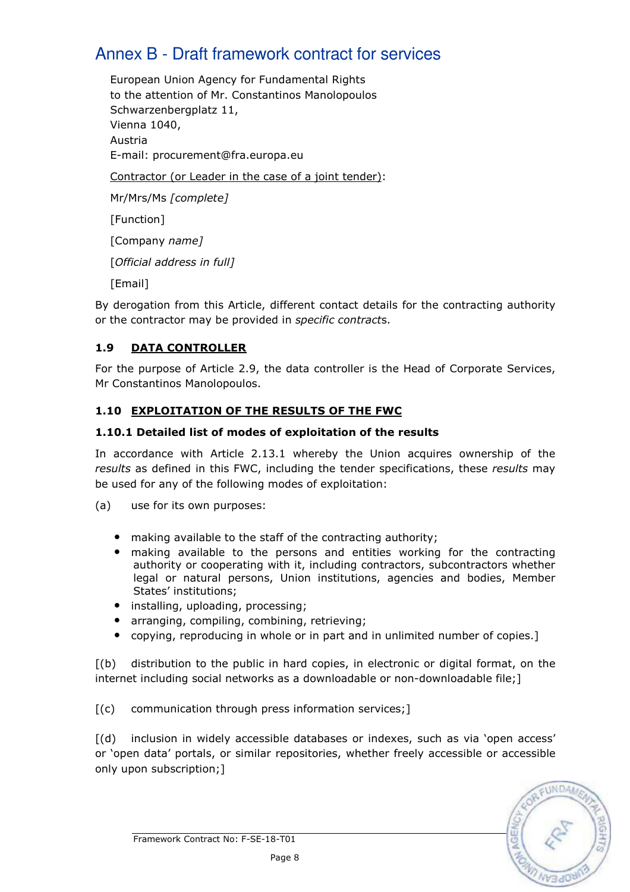European Union Agency for Fundamental Rights to the attention of Mr. Constantinos Manolopoulos Schwarzenbergplatz 11, Vienna 1040, Austria E-mail: procurement@fra.europa.eu Contractor (or Leader in the case of a joint tender): Mr/Mrs/Ms [complete] [Function] [Company name] [Official address in full] [Email]

By derogation from this Article, different contact details for the contracting authority or the contractor may be provided in *specific contracts*.

# 1.9 DATA CONTROLLER

For the purpose of Article 2.9, the data controller is the Head of Corporate Services, Mr Constantinos Manolopoulos.

# 1.10 EXPLOITATION OF THE RESULTS OF THE FWC

## 1.10.1 Detailed list of modes of exploitation of the results

In accordance with Article 2.13.1 whereby the Union acquires ownership of the results as defined in this FWC, including the tender specifications, these results may be used for any of the following modes of exploitation:

(a) use for its own purposes:

- making available to the staff of the contracting authority;
- making available to the persons and entities working for the contracting authority or cooperating with it, including contractors, subcontractors whether legal or natural persons, Union institutions, agencies and bodies, Member States' institutions;
- installing, uploading, processing;
- arranging, compiling, combining, retrieving;
- copying, reproducing in whole or in part and in unlimited number of copies.]

[(b) distribution to the public in hard copies, in electronic or digital format, on the internet including social networks as a downloadable or non-downloadable file;]

[(c) communication through press information services;]

[(d) inclusion in widely accessible databases or indexes, such as via 'open access' or 'open data' portals, or similar repositories, whether freely accessible or accessible only upon subscription;]

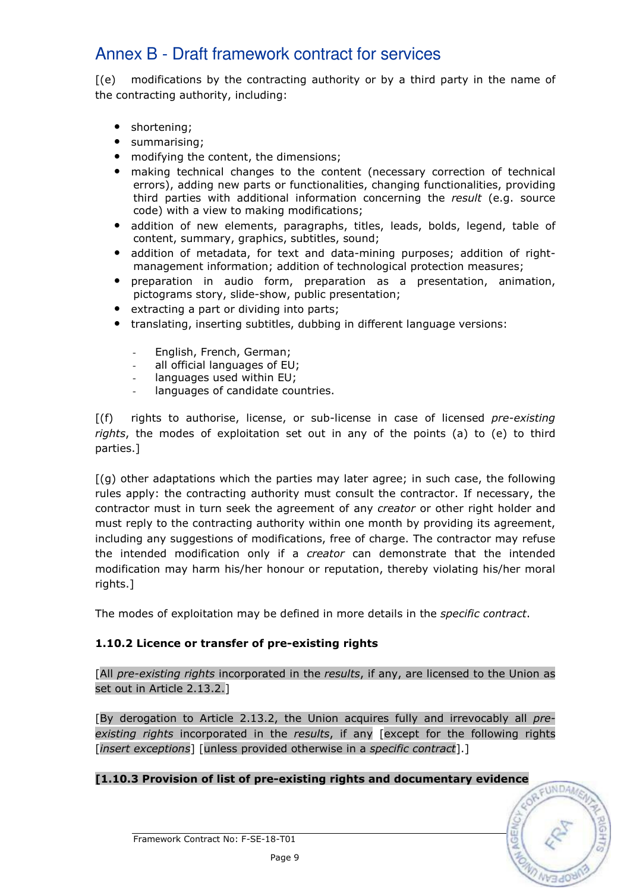[(e) modifications by the contracting authority or by a third party in the name of the contracting authority, including:

- shortening;
- summarising;
- modifying the content, the dimensions;
- making technical changes to the content (necessary correction of technical errors), adding new parts or functionalities, changing functionalities, providing third parties with additional information concerning the result (e.g. source code) with a view to making modifications;
- addition of new elements, paragraphs, titles, leads, bolds, legend, table of content, summary, graphics, subtitles, sound;
- addition of metadata, for text and data-mining purposes; addition of rightmanagement information; addition of technological protection measures;
- preparation in audio form, preparation as a presentation, animation, pictograms story, slide-show, public presentation;
- extracting a part or dividing into parts;
- translating, inserting subtitles, dubbing in different language versions:
	- English, French, German;
	- all official languages of EU;
	- languages used within EU;
	- languages of candidate countries.

 $[f(f)]$  rights to authorise, license, or sub-license in case of licensed *pre-existing* rights, the modes of exploitation set out in any of the points (a) to (e) to third parties.]

[(g) other adaptations which the parties may later agree; in such case, the following rules apply: the contracting authority must consult the contractor. If necessary, the contractor must in turn seek the agreement of any *creator* or other right holder and must reply to the contracting authority within one month by providing its agreement, including any suggestions of modifications, free of charge. The contractor may refuse the intended modification only if a *creator* can demonstrate that the intended modification may harm his/her honour or reputation, thereby violating his/her moral rights.]

The modes of exploitation may be defined in more details in the specific contract.

## 1.10.2 Licence or transfer of pre-existing rights

[All pre-existing rights incorporated in the results, if any, are licensed to the Union as set out in Article 2.13.2.]

[By derogation to Article 2.13.2, the Union acquires fully and irrevocably all preexisting rights incorporated in the results, if any [except for the following rights [*insert exceptions*] [unless provided otherwise in a *specific contract*].]

## [1.10.3 Provision of list of pre-existing rights and documentary evidence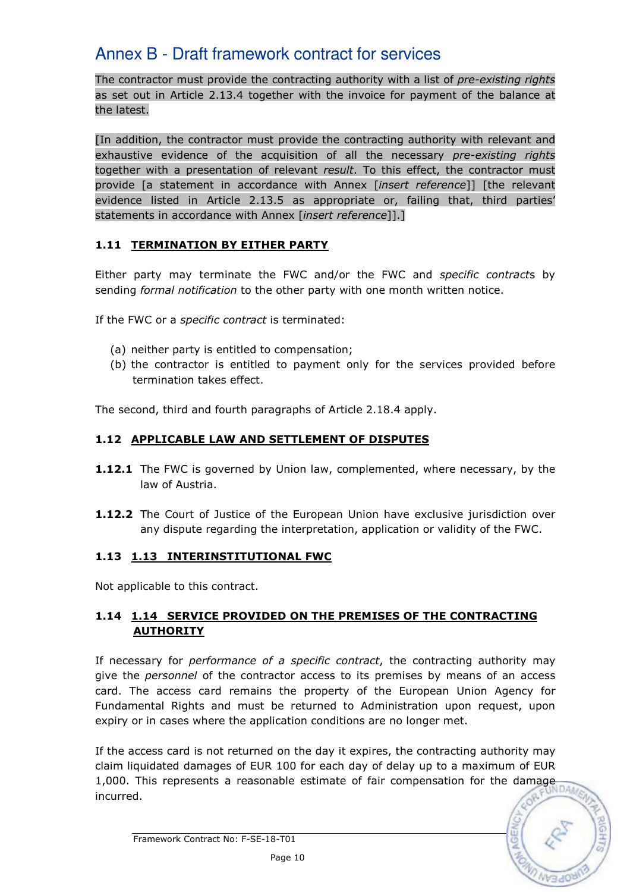The contractor must provide the contracting authority with a list of *pre-existing rights* as set out in Article 2.13.4 together with the invoice for payment of the balance at the latest.

[In addition, the contractor must provide the contracting authority with relevant and exhaustive evidence of the acquisition of all the necessary pre-existing rights together with a presentation of relevant result. To this effect, the contractor must provide [a statement in accordance with Annex [insert reference]] [the relevant evidence listed in Article 2.13.5 as appropriate or, failing that, third parties' statements in accordance with Annex [insert reference]].]

## 1.11 TERMINATION BY EITHER PARTY

Either party may terminate the FWC and/or the FWC and *specific contracts* by sending formal notification to the other party with one month written notice.

If the FWC or a *specific contract* is terminated:

- (a) neither party is entitled to compensation;
- (b) the contractor is entitled to payment only for the services provided before termination takes effect.

The second, third and fourth paragraphs of Article 2.18.4 apply.

# 1.12 APPLICABLE LAW AND SETTLEMENT OF DISPUTES

- 1.12.1 The FWC is governed by Union law, complemented, where necessary, by the law of Austria.
- **1.12.2** The Court of Justice of the European Union have exclusive jurisdiction over any dispute regarding the interpretation, application or validity of the FWC.

## 1.13 1.13 INTERINSTITUTIONAL FWC

Not applicable to this contract.

# 1.14 1.14 SERVICE PROVIDED ON THE PREMISES OF THE CONTRACTING **AUTHORITY**

If necessary for *performance of a specific contract*, the contracting authority may give the *personnel* of the contractor access to its premises by means of an access card. The access card remains the property of the European Union Agency for Fundamental Rights and must be returned to Administration upon request, upon expiry or in cases where the application conditions are no longer met.

If the access card is not returned on the day it expires, the contracting authority may claim liquidated damages of EUR 100 for each day of delay up to a maximum of EUR Claim inquidated damages of EST. The state of fair compensation for the damage  $1,000$ . This represents a reasonable estimate of fair compensation for the damage incurred.

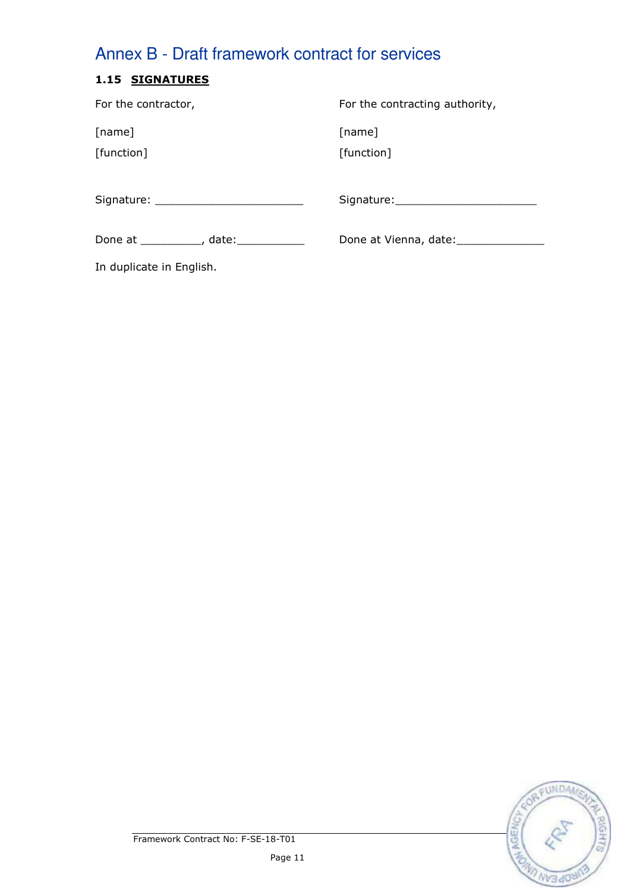# 1.15 SIGNATURES

| For the contractor,                      | For the contracting authority, |
|------------------------------------------|--------------------------------|
| [name]<br>[function]                     | [name]<br>[function]           |
|                                          | Signature: Signature:          |
| Done at ____________, date: ____________ |                                |

In duplicate in English.

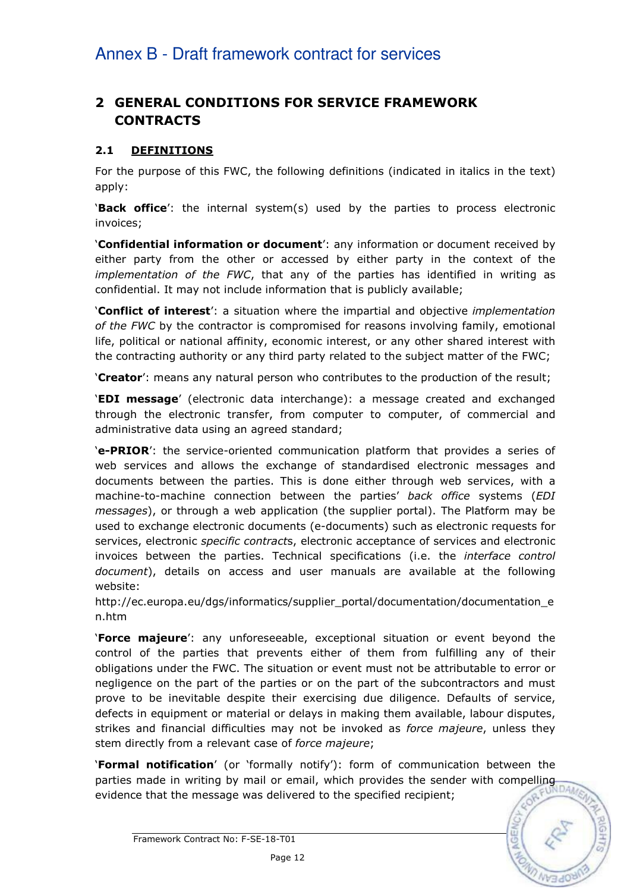# 2 GENERAL CONDITIONS FOR SERVICE FRAMEWORK CONTRACTS

## 2.1 DEFINITIONS

For the purpose of this FWC, the following definitions (indicated in italics in the text) apply:

'Back office': the internal system(s) used by the parties to process electronic invoices;

'Confidential information or document': any information or document received by either party from the other or accessed by either party in the context of the implementation of the FWC, that any of the parties has identified in writing as confidential. It may not include information that is publicly available;

**Conflict of interest**': a situation where the impartial and objective *implementation* of the FWC by the contractor is compromised for reasons involving family, emotional life, political or national affinity, economic interest, or any other shared interest with the contracting authority or any third party related to the subject matter of the FWC;

'Creator': means any natural person who contributes to the production of the result;

'EDI message' (electronic data interchange): a message created and exchanged through the electronic transfer, from computer to computer, of commercial and administrative data using an agreed standard;

'e-PRIOR': the service-oriented communication platform that provides a series of web services and allows the exchange of standardised electronic messages and documents between the parties. This is done either through web services, with a machine-to-machine connection between the parties' back office systems (EDI messages), or through a web application (the supplier portal). The Platform may be used to exchange electronic documents (e-documents) such as electronic requests for services, electronic *specific contracts*, electronic acceptance of services and electronic invoices between the parties. Technical specifications (i.e. the interface control document), details on access and user manuals are available at the following website:

http://ec.europa.eu/dgs/informatics/supplier\_portal/documentation/documentation\_e n.htm

'Force majeure': any unforeseeable, exceptional situation or event beyond the control of the parties that prevents either of them from fulfilling any of their obligations under the FWC. The situation or event must not be attributable to error or negligence on the part of the parties or on the part of the subcontractors and must prove to be inevitable despite their exercising due diligence. Defaults of service, defects in equipment or material or delays in making them available, labour disputes, strikes and financial difficulties may not be invoked as *force majeure*, unless they stem directly from a relevant case of force majeure;

'Formal notification' (or 'formally notify'): form of communication between the **Pormal notification** (or formally liverty to sender sender with compelling<br>parties made in writing by mail or email, which provides the sender with compelling evidence that the message was delivered to the specified recipient;

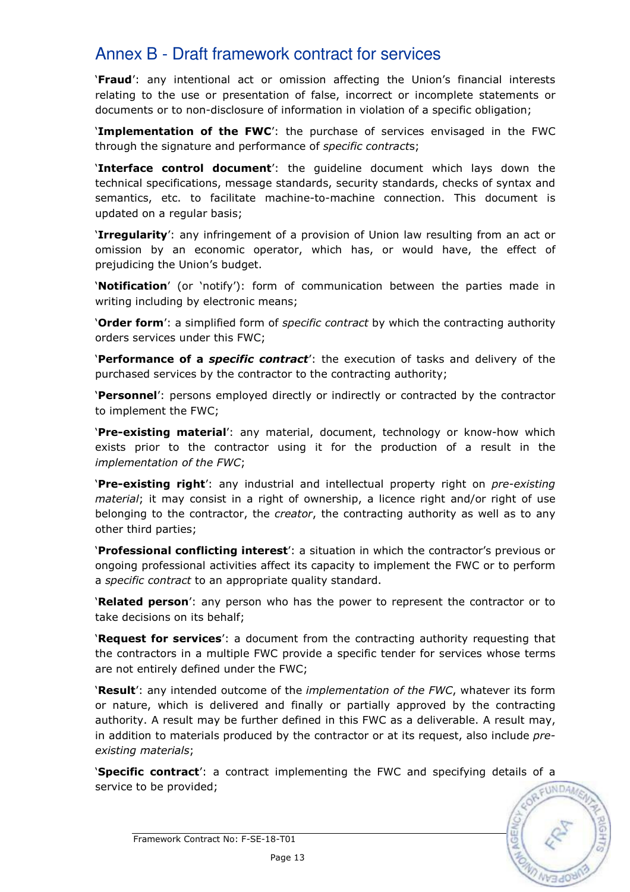'Fraud': any intentional act or omission affecting the Union's financial interests relating to the use or presentation of false, incorrect or incomplete statements or documents or to non-disclosure of information in violation of a specific obligation;

'Implementation of the FWC': the purchase of services envisaged in the FWC through the signature and performance of *specific contracts*;

'Interface control document': the guideline document which lays down the technical specifications, message standards, security standards, checks of syntax and semantics, etc. to facilitate machine-to-machine connection. This document is updated on a regular basis;

'Irregularity': any infringement of a provision of Union law resulting from an act or omission by an economic operator, which has, or would have, the effect of prejudicing the Union's budget.

'Notification' (or 'notify'): form of communication between the parties made in writing including by electronic means;

'Order form': a simplified form of specific contract by which the contracting authority orders services under this FWC;

'Performance of a *specific contract'*: the execution of tasks and delivery of the purchased services by the contractor to the contracting authority;

'Personnel': persons employed directly or indirectly or contracted by the contractor to implement the FWC;

'Pre-existing material': any material, document, technology or know-how which exists prior to the contractor using it for the production of a result in the implementation of the FWC;

'Pre-existing right': any industrial and intellectual property right on *pre-existing* material; it may consist in a right of ownership, a licence right and/or right of use belonging to the contractor, the *creator*, the contracting authority as well as to any other third parties;

'Professional conflicting interest': a situation in which the contractor's previous or ongoing professional activities affect its capacity to implement the FWC or to perform a specific contract to an appropriate quality standard.

**'Related person'**: any person who has the power to represent the contractor or to take decisions on its behalf;

**Request for services**': a document from the contracting authority requesting that the contractors in a multiple FWC provide a specific tender for services whose terms are not entirely defined under the FWC;

'Result': any intended outcome of the *implementation of the FWC*, whatever its form or nature, which is delivered and finally or partially approved by the contracting authority. A result may be further defined in this FWC as a deliverable. A result may, in addition to materials produced by the contractor or at its request, also include preexisting materials;

'Specific contract': a contract implementing the FWC and specifying details of a service to be provided;

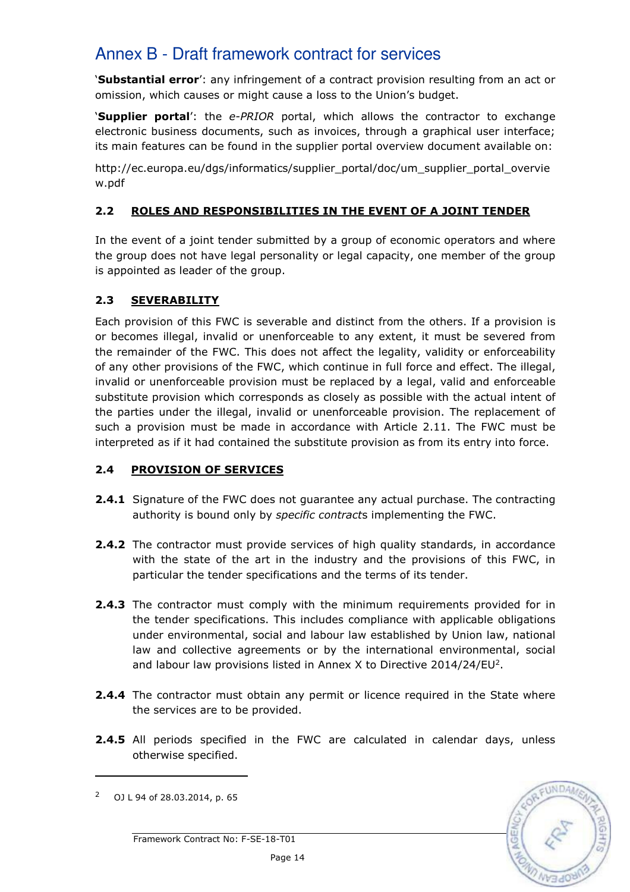'Substantial error': any infringement of a contract provision resulting from an act or omission, which causes or might cause a loss to the Union's budget.

'Supplier portal': the e-PRIOR portal, which allows the contractor to exchange electronic business documents, such as invoices, through a graphical user interface; its main features can be found in the supplier portal overview document available on:

http://ec.europa.eu/dgs/informatics/supplier\_portal/doc/um\_supplier\_portal\_overvie w.pdf

# 2.2 ROLES AND RESPONSIBILITIES IN THE EVENT OF A JOINT TENDER

In the event of a joint tender submitted by a group of economic operators and where the group does not have legal personality or legal capacity, one member of the group is appointed as leader of the group.

# 2.3 SEVERABILITY

Each provision of this FWC is severable and distinct from the others. If a provision is or becomes illegal, invalid or unenforceable to any extent, it must be severed from the remainder of the FWC. This does not affect the legality, validity or enforceability of any other provisions of the FWC, which continue in full force and effect. The illegal, invalid or unenforceable provision must be replaced by a legal, valid and enforceable substitute provision which corresponds as closely as possible with the actual intent of the parties under the illegal, invalid or unenforceable provision. The replacement of such a provision must be made in accordance with Article 2.11. The FWC must be interpreted as if it had contained the substitute provision as from its entry into force.

# 2.4 PROVISION OF SERVICES

- **2.4.1** Signature of the FWC does not guarantee any actual purchase. The contracting authority is bound only by specific contracts implementing the FWC.
- **2.4.2** The contractor must provide services of high quality standards, in accordance with the state of the art in the industry and the provisions of this FWC, in particular the tender specifications and the terms of its tender.
- **2.4.3** The contractor must comply with the minimum requirements provided for in the tender specifications. This includes compliance with applicable obligations under environmental, social and labour law established by Union law, national law and collective agreements or by the international environmental, social and labour law provisions listed in Annex X to Directive 2014/24/EU<sup>2</sup>.
- **2.4.4** The contractor must obtain any permit or licence required in the State where the services are to be provided.
- 2.4.5 All periods specified in the FWC are calculated in calendar days, unless otherwise specified.



<sup>&</sup>lt;sup>2</sup> OJ L 94 of 28.03.2014, p. 65

Framework Contract No: F-SE-18-T01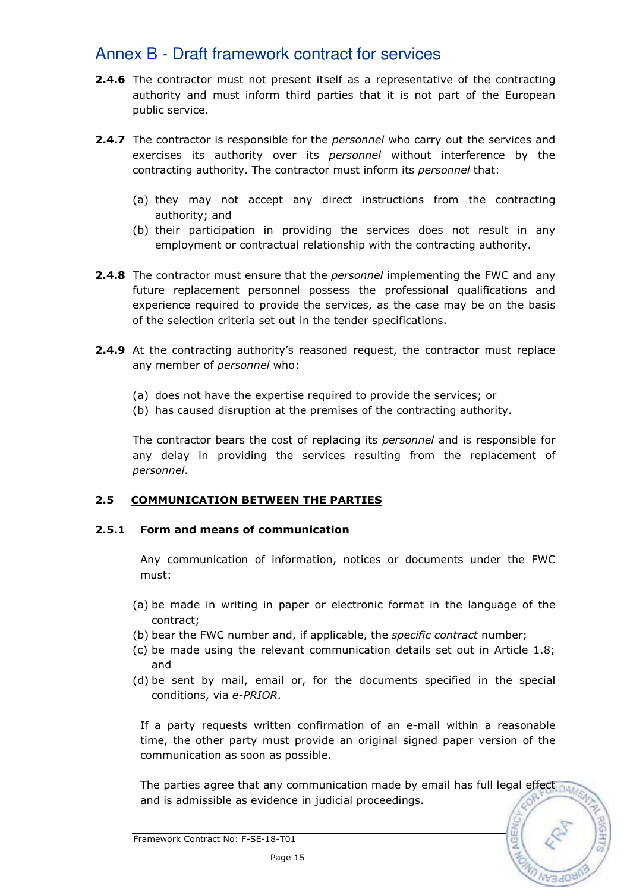- **2.4.6** The contractor must not present itself as a representative of the contracting authority and must inform third parties that it is not part of the European public service.
- **2.4.7** The contractor is responsible for the *personnel* who carry out the services and exercises its authority over its *personnel* without interference by the contracting authority. The contractor must inform its personnel that:
	- (a) they may not accept any direct instructions from the contracting authority; and
	- (b) their participation in providing the services does not result in any employment or contractual relationship with the contracting authority.
- **2.4.8** The contractor must ensure that the *personnel* implementing the FWC and any future replacement personnel possess the professional qualifications and experience required to provide the services, as the case may be on the basis of the selection criteria set out in the tender specifications.
- **2.4.9** At the contracting authority's reasoned request, the contractor must replace any member of *personnel* who:
	- (a) does not have the expertise required to provide the services; or
	- (b) has caused disruption at the premises of the contracting authority.

The contractor bears the cost of replacing its *personnel* and is responsible for any delay in providing the services resulting from the replacement of personnel.

## 2.5 COMMUNICATION BETWEEN THE PARTIES

#### 2.5.1 Form and means of communication

Any communication of information, notices or documents under the FWC must:

- (a) be made in writing in paper or electronic format in the language of the contract;
- (b) bear the FWC number and, if applicable, the specific contract number;
- (c) be made using the relevant communication details set out in Article 1.8; and
- (d) be sent by mail, email or, for the documents specified in the special conditions, via e-PRIOR.

If a party requests written confirmation of an e-mail within a reasonable time, the other party must provide an original signed paper version of the communication as soon as possible.

The parties agree that any communication made by email has full legal effect  $_{\text{DAD}}$ and is admissible as evidence in judicial proceedings.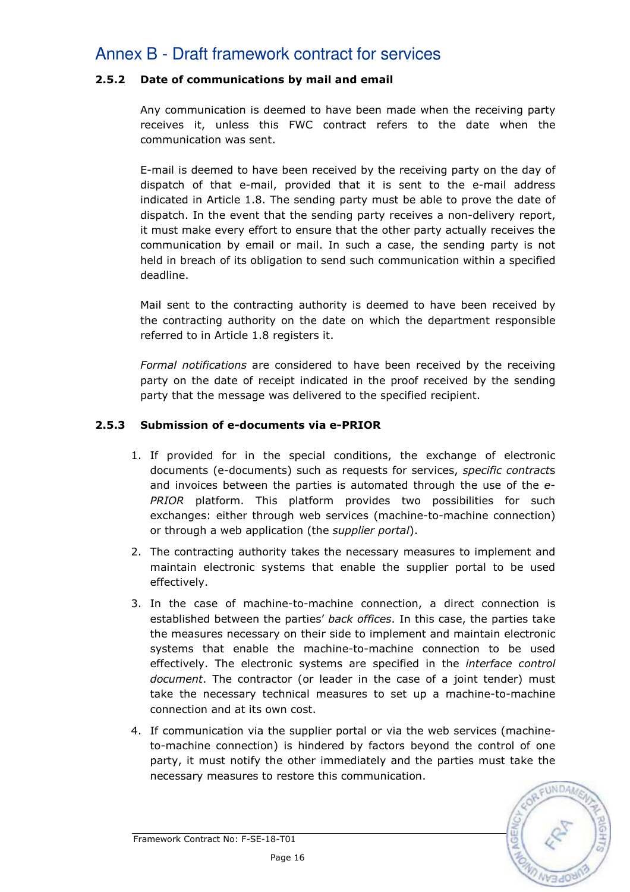## 2.5.2 Date of communications by mail and email

Any communication is deemed to have been made when the receiving party receives it, unless this FWC contract refers to the date when the communication was sent.

E-mail is deemed to have been received by the receiving party on the day of dispatch of that e-mail, provided that it is sent to the e-mail address indicated in Article 1.8. The sending party must be able to prove the date of dispatch. In the event that the sending party receives a non-delivery report, it must make every effort to ensure that the other party actually receives the communication by email or mail. In such a case, the sending party is not held in breach of its obligation to send such communication within a specified deadline.

Mail sent to the contracting authority is deemed to have been received by the contracting authority on the date on which the department responsible referred to in Article 1.8 registers it.

Formal notifications are considered to have been received by the receiving party on the date of receipt indicated in the proof received by the sending party that the message was delivered to the specified recipient.

## 2.5.3 Submission of e-documents via e-PRIOR

- 1. If provided for in the special conditions, the exchange of electronic documents (e-documents) such as requests for services, specific contracts and invoices between the parties is automated through the use of the e-PRIOR platform. This platform provides two possibilities for such exchanges: either through web services (machine-to-machine connection) or through a web application (the *supplier portal*).
- 2. The contracting authority takes the necessary measures to implement and maintain electronic systems that enable the supplier portal to be used effectively.
- 3. In the case of machine-to-machine connection, a direct connection is established between the parties' back offices. In this case, the parties take the measures necessary on their side to implement and maintain electronic systems that enable the machine-to-machine connection to be used effectively. The electronic systems are specified in the interface control document. The contractor (or leader in the case of a joint tender) must take the necessary technical measures to set up a machine-to-machine connection and at its own cost.
- 4. If communication via the supplier portal or via the web services (machineto-machine connection) is hindered by factors beyond the control of one party, it must notify the other immediately and the parties must take the necessary measures to restore this communication.

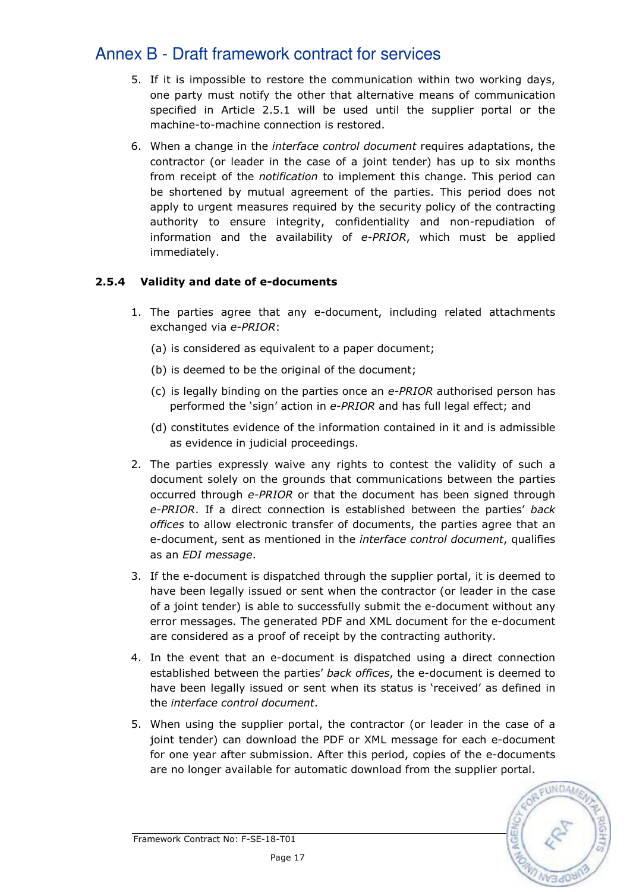- 5. If it is impossible to restore the communication within two working days, one party must notify the other that alternative means of communication specified in Article 2.5.1 will be used until the supplier portal or the machine-to-machine connection is restored.
- 6. When a change in the interface control document requires adaptations, the contractor (or leader in the case of a joint tender) has up to six months from receipt of the *notification* to implement this change. This period can be shortened by mutual agreement of the parties. This period does not apply to urgent measures required by the security policy of the contracting authority to ensure integrity, confidentiality and non-repudiation of information and the availability of e-PRIOR, which must be applied immediately.

# 2.5.4 Validity and date of e-documents

- 1. The parties agree that any e-document, including related attachments exchanged via e-PRIOR:
	- (a) is considered as equivalent to a paper document;
	- (b) is deemed to be the original of the document;
	- (c) is legally binding on the parties once an  $e$ -PRIOR authorised person has performed the 'sign' action in e-PRIOR and has full legal effect; and
	- (d) constitutes evidence of the information contained in it and is admissible as evidence in judicial proceedings.
- 2. The parties expressly waive any rights to contest the validity of such a document solely on the grounds that communications between the parties occurred through e-PRIOR or that the document has been signed through e-PRIOR. If a direct connection is established between the parties' back offices to allow electronic transfer of documents, the parties agree that an e-document, sent as mentioned in the *interface control document*, qualifies as an EDI message.
- 3. If the e-document is dispatched through the supplier portal, it is deemed to have been legally issued or sent when the contractor (or leader in the case of a joint tender) is able to successfully submit the e-document without any error messages. The generated PDF and XML document for the e-document are considered as a proof of receipt by the contracting authority.
- 4. In the event that an e-document is dispatched using a direct connection established between the parties' back offices, the e-document is deemed to have been legally issued or sent when its status is 'received' as defined in the interface control document.
- 5. When using the supplier portal, the contractor (or leader in the case of a joint tender) can download the PDF or XML message for each e-document for one year after submission. After this period, copies of the e-documents are no longer available for automatic download from the supplier portal.

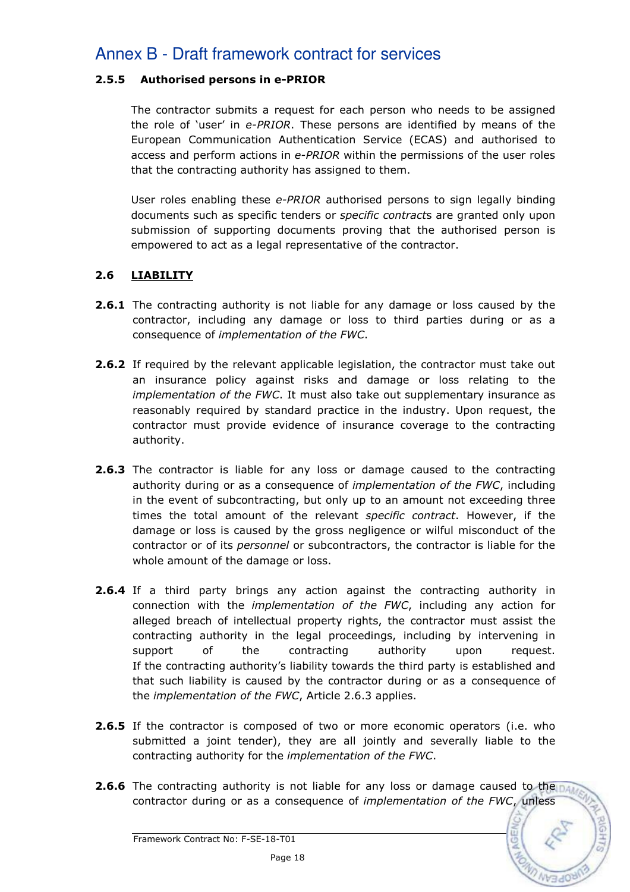## 2.5.5 Authorised persons in e-PRIOR

The contractor submits a request for each person who needs to be assigned the role of 'user' in e-PRIOR. These persons are identified by means of the European Communication Authentication Service (ECAS) and authorised to access and perform actions in e-PRIOR within the permissions of the user roles that the contracting authority has assigned to them.

User roles enabling these e-PRIOR authorised persons to sign legally binding documents such as specific tenders or specific contracts are granted only upon submission of supporting documents proving that the authorised person is empowered to act as a legal representative of the contractor.

## 2.6 LIABILITY

- **2.6.1** The contracting authority is not liable for any damage or loss caused by the contractor, including any damage or loss to third parties during or as a consequence of implementation of the FWC.
- 2.6.2 If required by the relevant applicable legislation, the contractor must take out an insurance policy against risks and damage or loss relating to the implementation of the FWC. It must also take out supplementary insurance as reasonably required by standard practice in the industry. Upon request, the contractor must provide evidence of insurance coverage to the contracting authority.
- **2.6.3** The contractor is liable for any loss or damage caused to the contracting authority during or as a consequence of *implementation of the FWC*, including in the event of subcontracting, but only up to an amount not exceeding three times the total amount of the relevant specific contract. However, if the damage or loss is caused by the gross negligence or wilful misconduct of the contractor or of its personnel or subcontractors, the contractor is liable for the whole amount of the damage or loss.
- **2.6.4** If a third party brings any action against the contracting authority in connection with the implementation of the FWC, including any action for alleged breach of intellectual property rights, the contractor must assist the contracting authority in the legal proceedings, including by intervening in support of the contracting authority upon request. If the contracting authority's liability towards the third party is established and that such liability is caused by the contractor during or as a consequence of the implementation of the FWC, Article 2.6.3 applies.
- **2.6.5** If the contractor is composed of two or more economic operators (i.e. who submitted a joint tender), they are all jointly and severally liable to the contracting authority for the implementation of the FWC.
- **2.6.6** The contracting authority is not liable for any loss or damage caused to the paper contractor during or as a consequence of implementation of the FWC, unless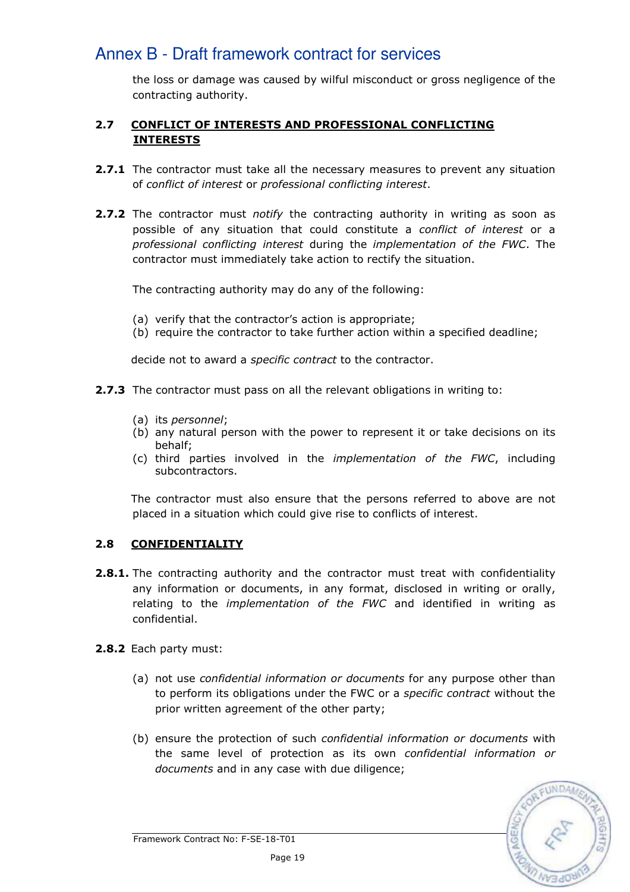the loss or damage was caused by wilful misconduct or gross negligence of the contracting authority.

# 2.7 CONFLICT OF INTERESTS AND PROFESSIONAL CONFLICTING INTERESTS

- **2.7.1** The contractor must take all the necessary measures to prevent any situation of conflict of interest or professional conflicting interest.
- 2.7.2 The contractor must notify the contracting authority in writing as soon as possible of any situation that could constitute a *conflict of interest* or a professional conflicting interest during the implementation of the FWC. The contractor must immediately take action to rectify the situation.

The contracting authority may do any of the following:

- (a) verify that the contractor's action is appropriate;
- (b) require the contractor to take further action within a specified deadline;

decide not to award a specific contract to the contractor.

- 2.7.3 The contractor must pass on all the relevant obligations in writing to:
	- (a) its personnel;
	- (b) any natural person with the power to represent it or take decisions on its behalf;
	- (c) third parties involved in the implementation of the FWC, including subcontractors.

The contractor must also ensure that the persons referred to above are not placed in a situation which could give rise to conflicts of interest.

## 2.8 CONFIDENTIALITY

- **2.8.1.** The contracting authority and the contractor must treat with confidentiality any information or documents, in any format, disclosed in writing or orally, relating to the *implementation of the FWC* and identified in writing as confidential.
- 2.8.2 Each party must:
	- (a) not use confidential information or documents for any purpose other than to perform its obligations under the FWC or a *specific contract* without the prior written agreement of the other party;
	- (b) ensure the protection of such confidential information or documents with the same level of protection as its own confidential information or documents and in any case with due diligence;

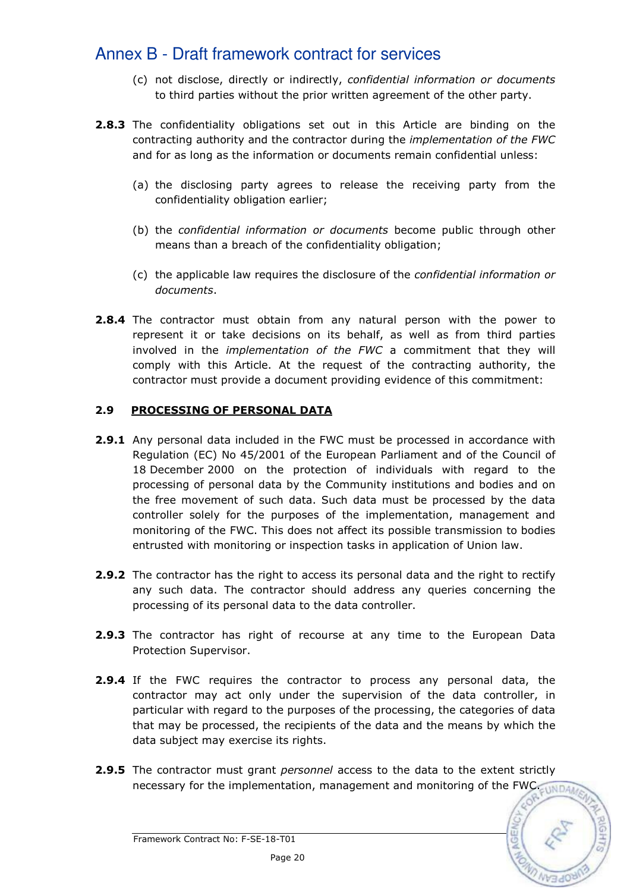- (c) not disclose, directly or indirectly, confidential information or documents to third parties without the prior written agreement of the other party.
- **2.8.3** The confidentiality obligations set out in this Article are binding on the contracting authority and the contractor during the implementation of the FWC and for as long as the information or documents remain confidential unless:
	- (a) the disclosing party agrees to release the receiving party from the confidentiality obligation earlier;
	- (b) the confidential information or documents become public through other means than a breach of the confidentiality obligation;
	- (c) the applicable law requires the disclosure of the confidential information or documents.
- **2.8.4** The contractor must obtain from any natural person with the power to represent it or take decisions on its behalf, as well as from third parties involved in the implementation of the FWC a commitment that they will comply with this Article. At the request of the contracting authority, the contractor must provide a document providing evidence of this commitment:

## 2.9 PROCESSING OF PERSONAL DATA

- 2.9.1 Any personal data included in the FWC must be processed in accordance with Regulation (EC) No 45/2001 of the European Parliament and of the Council of 18 December 2000 on the protection of individuals with regard to the processing of personal data by the Community institutions and bodies and on the free movement of such data. Such data must be processed by the data controller solely for the purposes of the implementation, management and monitoring of the FWC. This does not affect its possible transmission to bodies entrusted with monitoring or inspection tasks in application of Union law.
- **2.9.2** The contractor has the right to access its personal data and the right to rectify any such data. The contractor should address any queries concerning the processing of its personal data to the data controller.
- **2.9.3** The contractor has right of recourse at any time to the European Data Protection Supervisor.
- **2.9.4** If the FWC requires the contractor to process any personal data, the contractor may act only under the supervision of the data controller, in particular with regard to the purposes of the processing, the categories of data that may be processed, the recipients of the data and the means by which the data subject may exercise its rights.
- 2.9.5 The contractor must grant personnel access to the data to the extent strictly necessary for the implementation, management and monitoring of the FWC. UNDAM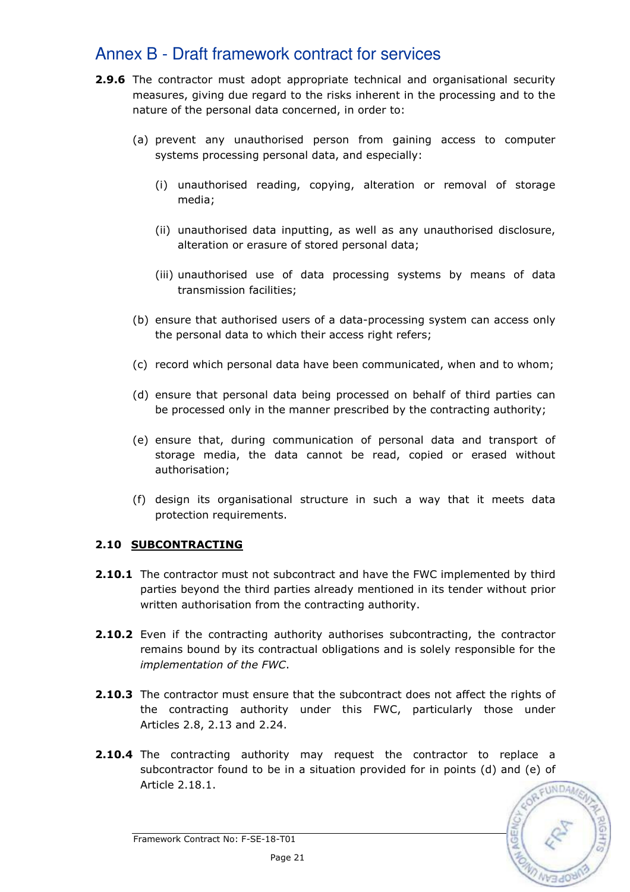- **2.9.6** The contractor must adopt appropriate technical and organisational security measures, giving due regard to the risks inherent in the processing and to the nature of the personal data concerned, in order to:
	- (a) prevent any unauthorised person from gaining access to computer systems processing personal data, and especially:
		- (i) unauthorised reading, copying, alteration or removal of storage media;
		- (ii) unauthorised data inputting, as well as any unauthorised disclosure, alteration or erasure of stored personal data;
		- (iii) unauthorised use of data processing systems by means of data transmission facilities;
	- (b) ensure that authorised users of a data-processing system can access only the personal data to which their access right refers;
	- (c) record which personal data have been communicated, when and to whom;
	- (d) ensure that personal data being processed on behalf of third parties can be processed only in the manner prescribed by the contracting authority;
	- (e) ensure that, during communication of personal data and transport of storage media, the data cannot be read, copied or erased without authorisation;
	- (f) design its organisational structure in such a way that it meets data protection requirements.

## 2.10 SUBCONTRACTING

- **2.10.1** The contractor must not subcontract and have the FWC implemented by third parties beyond the third parties already mentioned in its tender without prior written authorisation from the contracting authority.
- **2.10.2** Even if the contracting authority authorises subcontracting, the contractor remains bound by its contractual obligations and is solely responsible for the implementation of the FWC.
- **2.10.3** The contractor must ensure that the subcontract does not affect the rights of the contracting authority under this FWC, particularly those under Articles 2.8, 2.13 and 2.24.
- **2.10.4** The contracting authority may request the contractor to replace a subcontractor found to be in a situation provided for in points (d) and (e) of Article 2.18.1.



Framework Contract No: F-SE-18-T01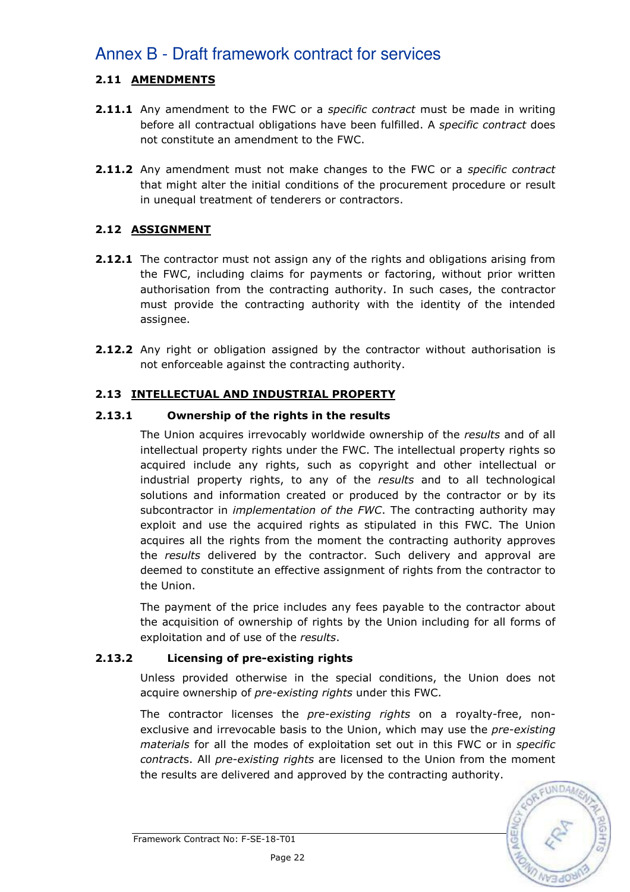# 2.11 AMENDMENTS

- **2.11.1** Any amendment to the FWC or a *specific contract* must be made in writing before all contractual obligations have been fulfilled. A specific contract does not constitute an amendment to the FWC.
- 2.11.2 Any amendment must not make changes to the FWC or a specific contract that might alter the initial conditions of the procurement procedure or result in unequal treatment of tenderers or contractors.

# 2.12 ASSIGNMENT

- **2.12.1** The contractor must not assign any of the rights and obligations arising from the FWC, including claims for payments or factoring, without prior written authorisation from the contracting authority. In such cases, the contractor must provide the contracting authority with the identity of the intended assignee.
- **2.12.2** Any right or obligation assigned by the contractor without authorisation is not enforceable against the contracting authority.

# 2.13 INTELLECTUAL AND INDUSTRIAL PROPERTY

## 2.13.1 Ownership of the rights in the results

The Union acquires irrevocably worldwide ownership of the results and of all intellectual property rights under the FWC. The intellectual property rights so acquired include any rights, such as copyright and other intellectual or industrial property rights, to any of the results and to all technological solutions and information created or produced by the contractor or by its subcontractor in *implementation of the FWC*. The contracting authority may exploit and use the acquired rights as stipulated in this FWC. The Union acquires all the rights from the moment the contracting authority approves the results delivered by the contractor. Such delivery and approval are deemed to constitute an effective assignment of rights from the contractor to the Union.

The payment of the price includes any fees payable to the contractor about the acquisition of ownership of rights by the Union including for all forms of exploitation and of use of the results.

## 2.13.2 Licensing of pre-existing rights

Unless provided otherwise in the special conditions, the Union does not acquire ownership of pre-existing rights under this FWC.

The contractor licenses the *pre-existing rights* on a royalty-free, nonexclusive and irrevocable basis to the Union, which may use the pre-existing materials for all the modes of exploitation set out in this FWC or in specific contracts. All pre-existing rights are licensed to the Union from the moment the results are delivered and approved by the contracting authority.

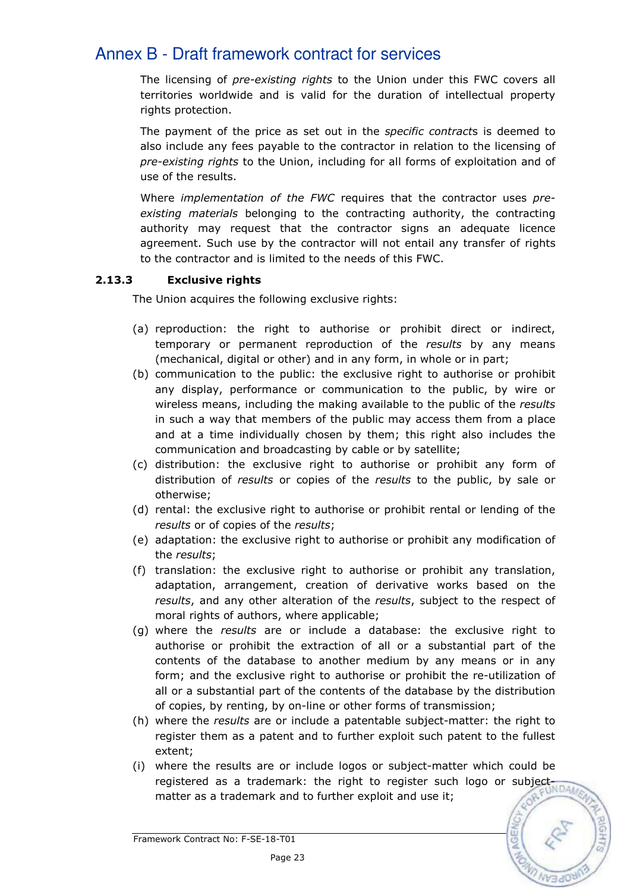The licensing of *pre-existing rights* to the Union under this FWC covers all territories worldwide and is valid for the duration of intellectual property rights protection.

The payment of the price as set out in the *specific contracts* is deemed to also include any fees payable to the contractor in relation to the licensing of pre-existing rights to the Union, including for all forms of exploitation and of use of the results.

Where *implementation of the FWC* requires that the contractor uses preexisting materials belonging to the contracting authority, the contracting authority may request that the contractor signs an adequate licence agreement. Such use by the contractor will not entail any transfer of rights to the contractor and is limited to the needs of this FWC.

# 2.13.3 Exclusive rights

The Union acquires the following exclusive rights:

- (a) reproduction: the right to authorise or prohibit direct or indirect, temporary or permanent reproduction of the results by any means (mechanical, digital or other) and in any form, in whole or in part;
- (b) communication to the public: the exclusive right to authorise or prohibit any display, performance or communication to the public, by wire or wireless means, including the making available to the public of the results in such a way that members of the public may access them from a place and at a time individually chosen by them; this right also includes the communication and broadcasting by cable or by satellite;
- (c) distribution: the exclusive right to authorise or prohibit any form of distribution of results or copies of the results to the public, by sale or otherwise;
- (d) rental: the exclusive right to authorise or prohibit rental or lending of the results or of copies of the results;
- (e) adaptation: the exclusive right to authorise or prohibit any modification of the results;
- (f) translation: the exclusive right to authorise or prohibit any translation, adaptation, arrangement, creation of derivative works based on the results, and any other alteration of the results, subject to the respect of moral rights of authors, where applicable;
- (g) where the results are or include a database: the exclusive right to authorise or prohibit the extraction of all or a substantial part of the contents of the database to another medium by any means or in any form; and the exclusive right to authorise or prohibit the re-utilization of all or a substantial part of the contents of the database by the distribution of copies, by renting, by on-line or other forms of transmission;
- (h) where the results are or include a patentable subject-matter: the right to register them as a patent and to further exploit such patent to the fullest extent;
- (i) where the results are or include logos or subject-matter which could be registered as a trademark: the right to register such logo or subjective under matter as a trademark and to further exploit and use it;

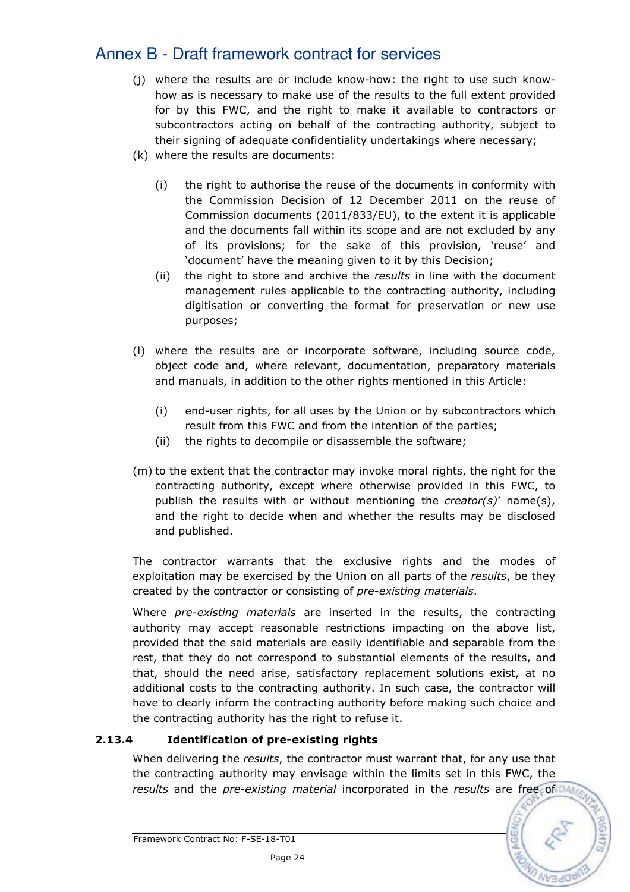- (j) where the results are or include know-how: the right to use such knowhow as is necessary to make use of the results to the full extent provided for by this FWC, and the right to make it available to contractors or subcontractors acting on behalf of the contracting authority, subject to their signing of adequate confidentiality undertakings where necessary;
- (k) where the results are documents:
	- (i) the right to authorise the reuse of the documents in conformity with the Commission Decision of 12 December 2011 on the reuse of Commission documents (2011/833/EU), to the extent it is applicable and the documents fall within its scope and are not excluded by any of its provisions; for the sake of this provision, 'reuse' and 'document' have the meaning given to it by this Decision;
	- (ii) the right to store and archive the results in line with the document management rules applicable to the contracting authority, including digitisation or converting the format for preservation or new use purposes;
- (l) where the results are or incorporate software, including source code, object code and, where relevant, documentation, preparatory materials and manuals, in addition to the other rights mentioned in this Article:
	- (i) end-user rights, for all uses by the Union or by subcontractors which result from this FWC and from the intention of the parties;
	- (ii) the rights to decompile or disassemble the software;
- (m) to the extent that the contractor may invoke moral rights, the right for the contracting authority, except where otherwise provided in this FWC, to publish the results with or without mentioning the *creator(s)'* name(s), and the right to decide when and whether the results may be disclosed and published.

The contractor warrants that the exclusive rights and the modes of exploitation may be exercised by the Union on all parts of the *results*, be they created by the contractor or consisting of pre-existing materials.

Where pre-existing materials are inserted in the results, the contracting authority may accept reasonable restrictions impacting on the above list, provided that the said materials are easily identifiable and separable from the rest, that they do not correspond to substantial elements of the results, and that, should the need arise, satisfactory replacement solutions exist, at no additional costs to the contracting authority. In such case, the contractor will have to clearly inform the contracting authority before making such choice and the contracting authority has the right to refuse it.

# 2.13.4 Identification of pre-existing rights

When delivering the results, the contractor must warrant that, for any use that the contracting authority may envisage within the limits set in this FWC, the results and the pre-existing material incorporated in the results are free of DA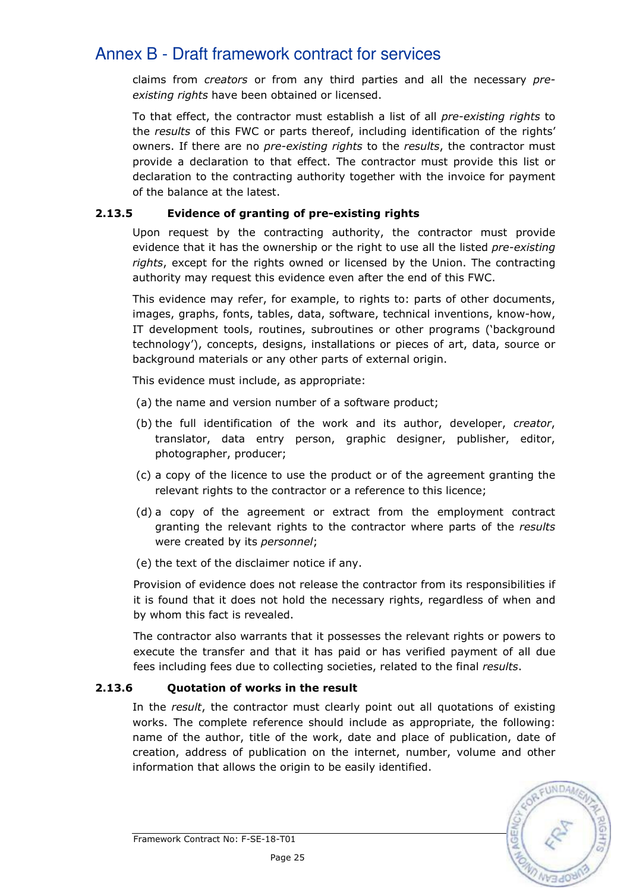claims from *creators* or from any third parties and all the necessary preexisting rights have been obtained or licensed.

To that effect, the contractor must establish a list of all *pre-existing rights* to the results of this FWC or parts thereof, including identification of the rights' owners. If there are no *pre-existing rights* to the *results*, the contractor must provide a declaration to that effect. The contractor must provide this list or declaration to the contracting authority together with the invoice for payment of the balance at the latest.

## 2.13.5 Evidence of granting of pre-existing rights

Upon request by the contracting authority, the contractor must provide evidence that it has the ownership or the right to use all the listed pre-existing rights, except for the rights owned or licensed by the Union. The contracting authority may request this evidence even after the end of this FWC.

This evidence may refer, for example, to rights to: parts of other documents, images, graphs, fonts, tables, data, software, technical inventions, know-how, IT development tools, routines, subroutines or other programs ('background technology'), concepts, designs, installations or pieces of art, data, source or background materials or any other parts of external origin.

This evidence must include, as appropriate:

- (a) the name and version number of a software product;
- (b) the full identification of the work and its author, developer, creator, translator, data entry person, graphic designer, publisher, editor, photographer, producer;
- (c) a copy of the licence to use the product or of the agreement granting the relevant rights to the contractor or a reference to this licence;
- (d) a copy of the agreement or extract from the employment contract granting the relevant rights to the contractor where parts of the results were created by its personnel;
- (e) the text of the disclaimer notice if any.

Provision of evidence does not release the contractor from its responsibilities if it is found that it does not hold the necessary rights, regardless of when and by whom this fact is revealed.

The contractor also warrants that it possesses the relevant rights or powers to execute the transfer and that it has paid or has verified payment of all due fees including fees due to collecting societies, related to the final results.

# 2.13.6 Quotation of works in the result

In the result, the contractor must clearly point out all quotations of existing works. The complete reference should include as appropriate, the following: name of the author, title of the work, date and place of publication, date of creation, address of publication on the internet, number, volume and other information that allows the origin to be easily identified.

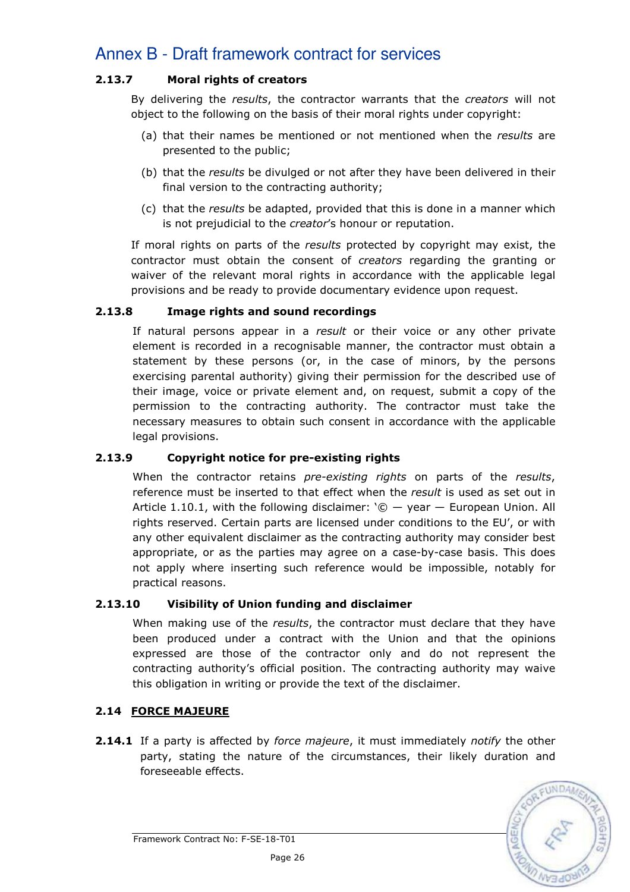# 2.13.7 Moral rights of creators

By delivering the results, the contractor warrants that the creators will not object to the following on the basis of their moral rights under copyright:

- (a) that their names be mentioned or not mentioned when the results are presented to the public;
- (b) that the results be divulged or not after they have been delivered in their final version to the contracting authority;
- (c) that the results be adapted, provided that this is done in a manner which is not prejudicial to the *creator's* honour or reputation.

If moral rights on parts of the results protected by copyright may exist, the contractor must obtain the consent of creators regarding the granting or waiver of the relevant moral rights in accordance with the applicable legal provisions and be ready to provide documentary evidence upon request.

## 2.13.8 Image rights and sound recordings

If natural persons appear in a result or their voice or any other private element is recorded in a recognisable manner, the contractor must obtain a statement by these persons (or, in the case of minors, by the persons exercising parental authority) giving their permission for the described use of their image, voice or private element and, on request, submit a copy of the permission to the contracting authority. The contractor must take the necessary measures to obtain such consent in accordance with the applicable legal provisions.

## 2.13.9 Copyright notice for pre-existing rights

When the contractor retains *pre-existing rights* on parts of the results, reference must be inserted to that effect when the result is used as set out in Article 1.10.1, with the following disclaimer:  $\degree$   $\degree$   $-$  year  $-$  European Union. All rights reserved. Certain parts are licensed under conditions to the EU', or with any other equivalent disclaimer as the contracting authority may consider best appropriate, or as the parties may agree on a case-by-case basis. This does not apply where inserting such reference would be impossible, notably for practical reasons.

## 2.13.10 Visibility of Union funding and disclaimer

When making use of the results, the contractor must declare that they have been produced under a contract with the Union and that the opinions expressed are those of the contractor only and do not represent the contracting authority's official position. The contracting authority may waive this obligation in writing or provide the text of the disclaimer.

## 2.14 FORCE MAJEURE

**2.14.1** If a party is affected by force majeure, it must immediately notify the other party, stating the nature of the circumstances, their likely duration and foreseeable effects.



Framework Contract No: F-SE-18-T01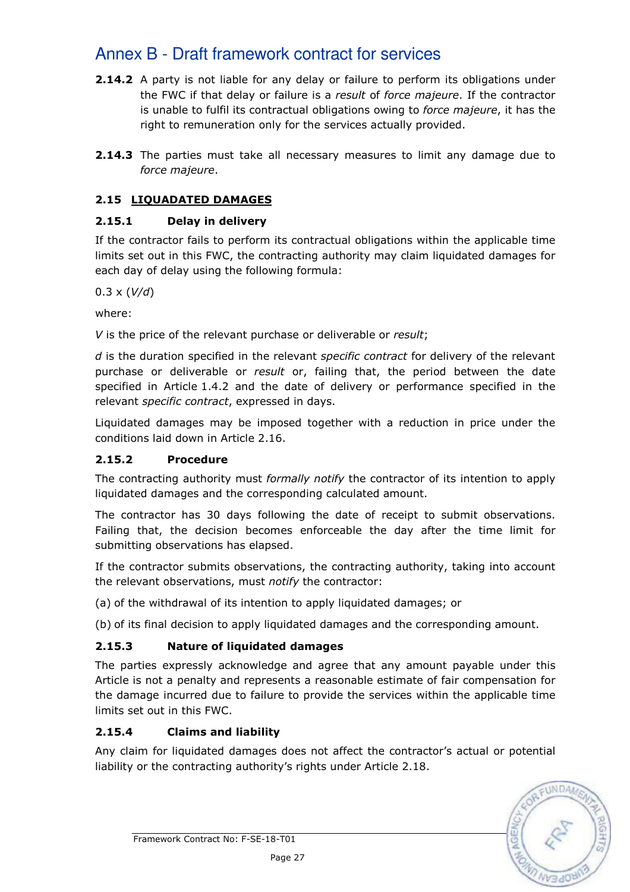- 2.14.2 A party is not liable for any delay or failure to perform its obligations under the FWC if that delay or failure is a *result* of force majeure. If the contractor is unable to fulfil its contractual obligations owing to force majeure, it has the right to remuneration only for the services actually provided.
- **2.14.3** The parties must take all necessary measures to limit any damage due to force majeure.

# 2.15 LIQUADATED DAMAGES

# 2.15.1 Delay in delivery

If the contractor fails to perform its contractual obligations within the applicable time limits set out in this FWC, the contracting authority may claim liquidated damages for each day of delay using the following formula:

 $0.3 \times (V/d)$ 

where:

V is the price of the relevant purchase or deliverable or result:

d is the duration specified in the relevant *specific contract* for delivery of the relevant purchase or deliverable or *result* or, failing that, the period between the date specified in Article 1.4.2 and the date of delivery or performance specified in the relevant specific contract, expressed in days.

Liquidated damages may be imposed together with a reduction in price under the conditions laid down in Article 2.16.

# 2.15.2 Procedure

The contracting authority must *formally notify* the contractor of its intention to apply liquidated damages and the corresponding calculated amount.

The contractor has 30 days following the date of receipt to submit observations. Failing that, the decision becomes enforceable the day after the time limit for submitting observations has elapsed.

If the contractor submits observations, the contracting authority, taking into account the relevant observations, must notify the contractor:

(a) of the withdrawal of its intention to apply liquidated damages; or

(b) of its final decision to apply liquidated damages and the corresponding amount.

# 2.15.3 Nature of liquidated damages

The parties expressly acknowledge and agree that any amount payable under this Article is not a penalty and represents a reasonable estimate of fair compensation for the damage incurred due to failure to provide the services within the applicable time limits set out in this FWC.

# 2.15.4 Claims and liability

Any claim for liquidated damages does not affect the contractor's actual or potential liability or the contracting authority's rights under Article 2.18.

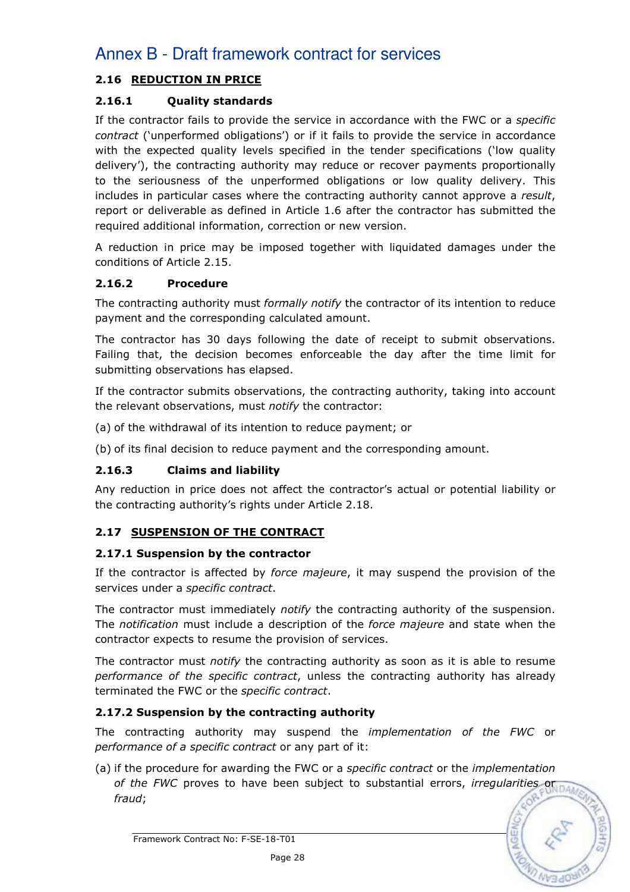# 2.16 REDUCTION IN PRICE

# 2.16.1 Quality standards

If the contractor fails to provide the service in accordance with the FWC or a specific contract ('unperformed obligations') or if it fails to provide the service in accordance with the expected quality levels specified in the tender specifications ('low quality delivery'), the contracting authority may reduce or recover payments proportionally to the seriousness of the unperformed obligations or low quality delivery. This includes in particular cases where the contracting authority cannot approve a *result.* report or deliverable as defined in Article 1.6 after the contractor has submitted the required additional information, correction or new version.

A reduction in price may be imposed together with liquidated damages under the conditions of Article 2.15.

## 2.16.2 Procedure

The contracting authority must formally notify the contractor of its intention to reduce payment and the corresponding calculated amount.

The contractor has 30 days following the date of receipt to submit observations. Failing that, the decision becomes enforceable the day after the time limit for submitting observations has elapsed.

If the contractor submits observations, the contracting authority, taking into account the relevant observations, must notify the contractor:

(a) of the withdrawal of its intention to reduce payment; or

(b) of its final decision to reduce payment and the corresponding amount.

# 2.16.3 Claims and liability

Any reduction in price does not affect the contractor's actual or potential liability or the contracting authority's rights under Article 2.18.

# 2.17 SUSPENSION OF THE CONTRACT

## 2.17.1 Suspension by the contractor

If the contractor is affected by force majeure, it may suspend the provision of the services under a specific contract.

The contractor must immediately *notify* the contracting authority of the suspension. The notification must include a description of the force majeure and state when the contractor expects to resume the provision of services.

The contractor must *notify* the contracting authority as soon as it is able to resume performance of the specific contract, unless the contracting authority has already terminated the FWC or the specific contract.

## 2.17.2 Suspension by the contracting authority

The contracting authority may suspend the implementation of the FWC or performance of a specific contract or any part of it:

(a) if the procedure for awarding the FWC or a specific contract or the implementation of the FWC proves to have been subject to substantial errors, irregularities or  $\frac{1}{2}$ fraud;

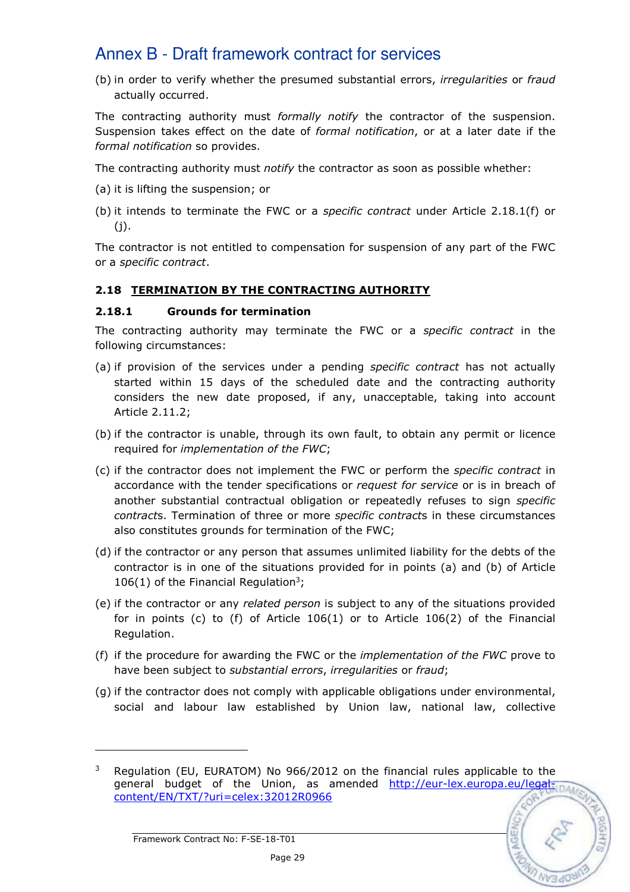(b) in order to verify whether the presumed substantial errors, irregularities or fraud actually occurred.

The contracting authority must formally notify the contractor of the suspension. Suspension takes effect on the date of formal notification, or at a later date if the formal notification so provides.

The contracting authority must *notify* the contractor as soon as possible whether:

- (a) it is lifting the suspension; or
- (b) it intends to terminate the FWC or a specific contract under Article 2.18.1(f) or  $(i).$

The contractor is not entitled to compensation for suspension of any part of the FWC or a specific contract.

## 2.18 TERMINATION BY THE CONTRACTING AUTHORITY

## 2.18.1 Grounds for termination

The contracting authority may terminate the FWC or a specific contract in the following circumstances:

- (a) if provision of the services under a pending *specific contract* has not actually started within 15 days of the scheduled date and the contracting authority considers the new date proposed, if any, unacceptable, taking into account Article 2.11.2;
- (b) if the contractor is unable, through its own fault, to obtain any permit or licence required for implementation of the FWC;
- (c) if the contractor does not implement the FWC or perform the specific contract in accordance with the tender specifications or request for service or is in breach of another substantial contractual obligation or repeatedly refuses to sign specific contracts. Termination of three or more specific contracts in these circumstances also constitutes grounds for termination of the FWC;
- (d) if the contractor or any person that assumes unlimited liability for the debts of the contractor is in one of the situations provided for in points (a) and (b) of Article 106(1) of the Financial Regulation<sup>3</sup>;
- (e) if the contractor or any related person is subject to any of the situations provided for in points (c) to (f) of Article 106(1) or to Article 106(2) of the Financial Regulation.
- (f) if the procedure for awarding the FWC or the implementation of the FWC prove to have been subject to substantial errors, irregularities or fraud;
- (g) if the contractor does not comply with applicable obligations under environmental, social and labour law established by Union law, national law, collective

<sup>3</sup> Regulation (EU, EURATOM) No 966/2012 on the financial rules applicable to the general budget of the Union, as amended http://eur-lex.europa.eu/legalcontent/EN/TXT/?uri=celex:32012R0966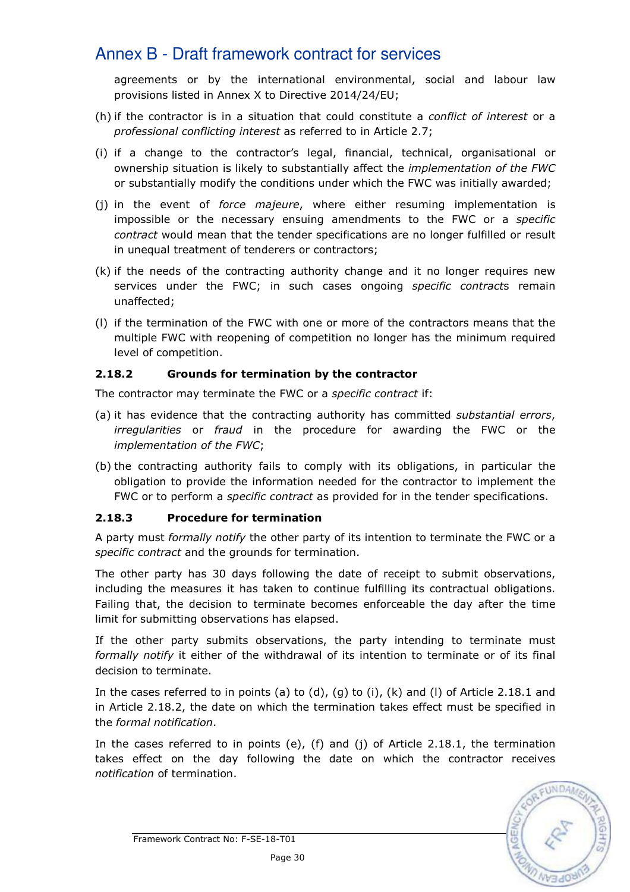agreements or by the international environmental, social and labour law provisions listed in Annex X to Directive 2014/24/EU;

- (h) if the contractor is in a situation that could constitute a *conflict of interest* or a professional conflicting interest as referred to in Article 2.7;
- (i) if a change to the contractor's legal, financial, technical, organisational or ownership situation is likely to substantially affect the implementation of the FWC or substantially modify the conditions under which the FWC was initially awarded;
- (i) in the event of *force majeure*, where either resuming implementation is impossible or the necessary ensuing amendments to the FWC or a specific contract would mean that the tender specifications are no longer fulfilled or result in unequal treatment of tenderers or contractors;
- (k) if the needs of the contracting authority change and it no longer requires new services under the FWC; in such cases ongoing specific contracts remain unaffected;
- (l) if the termination of the FWC with one or more of the contractors means that the multiple FWC with reopening of competition no longer has the minimum required level of competition.

# 2.18.2 Grounds for termination by the contractor

The contractor may terminate the FWC or a *specific contract* if:

- (a) it has evidence that the contracting authority has committed *substantial errors*, irregularities or fraud in the procedure for awarding the FWC or the implementation of the FWC;
- (b) the contracting authority fails to comply with its obligations, in particular the obligation to provide the information needed for the contractor to implement the FWC or to perform a specific contract as provided for in the tender specifications.

## 2.18.3 Procedure for termination

A party must *formally notify* the other party of its intention to terminate the FWC or a specific contract and the grounds for termination.

The other party has 30 days following the date of receipt to submit observations, including the measures it has taken to continue fulfilling its contractual obligations. Failing that, the decision to terminate becomes enforceable the day after the time limit for submitting observations has elapsed.

If the other party submits observations, the party intending to terminate must formally notify it either of the withdrawal of its intention to terminate or of its final decision to terminate.

In the cases referred to in points (a) to (d), (q) to (i), (k) and (l) of Article 2.18.1 and in Article 2.18.2, the date on which the termination takes effect must be specified in the formal notification.

In the cases referred to in points (e), (f) and (j) of Article 2.18.1, the termination takes effect on the day following the date on which the contractor receives notification of termination.

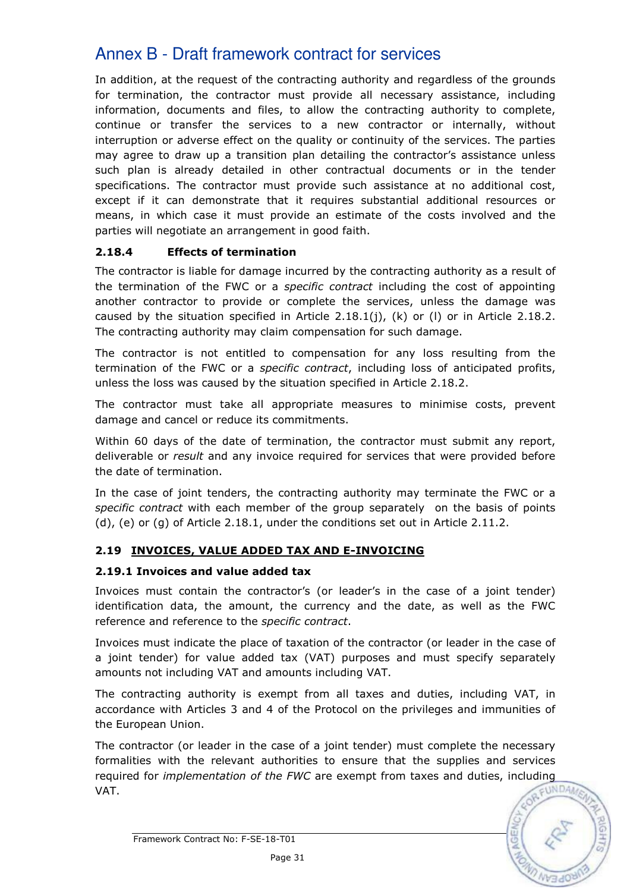In addition, at the request of the contracting authority and regardless of the grounds for termination, the contractor must provide all necessary assistance, including information, documents and files, to allow the contracting authority to complete, continue or transfer the services to a new contractor or internally, without interruption or adverse effect on the quality or continuity of the services. The parties may agree to draw up a transition plan detailing the contractor's assistance unless such plan is already detailed in other contractual documents or in the tender specifications. The contractor must provide such assistance at no additional cost, except if it can demonstrate that it requires substantial additional resources or means, in which case it must provide an estimate of the costs involved and the parties will negotiate an arrangement in good faith.

# 2.18.4 Effects of termination

The contractor is liable for damage incurred by the contracting authority as a result of the termination of the FWC or a specific contract including the cost of appointing another contractor to provide or complete the services, unless the damage was caused by the situation specified in Article 2.18.1(j), (k) or (I) or in Article 2.18.2. The contracting authority may claim compensation for such damage.

The contractor is not entitled to compensation for any loss resulting from the termination of the FWC or a *specific contract*, including loss of anticipated profits, unless the loss was caused by the situation specified in Article 2.18.2.

The contractor must take all appropriate measures to minimise costs, prevent damage and cancel or reduce its commitments.

Within 60 days of the date of termination, the contractor must submit any report, deliverable or result and any invoice required for services that were provided before the date of termination.

In the case of joint tenders, the contracting authority may terminate the FWC or a specific contract with each member of the group separately on the basis of points (d), (e) or (g) of Article 2.18.1, under the conditions set out in Article 2.11.2.

# 2.19 INVOICES, VALUE ADDED TAX AND E-INVOICING

## 2.19.1 Invoices and value added tax

Invoices must contain the contractor's (or leader's in the case of a joint tender) identification data, the amount, the currency and the date, as well as the FWC reference and reference to the specific contract.

Invoices must indicate the place of taxation of the contractor (or leader in the case of a joint tender) for value added tax (VAT) purposes and must specify separately amounts not including VAT and amounts including VAT.

The contracting authority is exempt from all taxes and duties, including VAT, in accordance with Articles 3 and 4 of the Protocol on the privileges and immunities of the European Union.

The contractor (or leader in the case of a joint tender) must complete the necessary formalities with the relevant authorities to ensure that the supplies and services required for *implementation of the FWC* are exempt from taxes and duties, including VAT.



Framework Contract No: F-SE-18-T01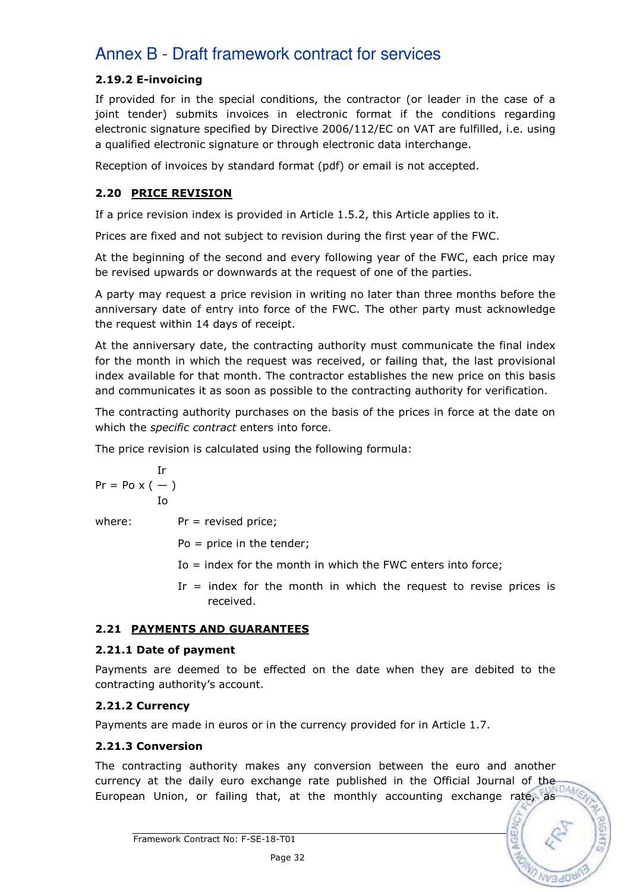# 2.19.2 E-invoicing

If provided for in the special conditions, the contractor (or leader in the case of a joint tender) submits invoices in electronic format if the conditions regarding electronic signature specified by Directive 2006/112/EC on VAT are fulfilled, i.e. using a qualified electronic signature or through electronic data interchange.

Reception of invoices by standard format (pdf) or email is not accepted.

# 2.20 PRICE REVISION

If a price revision index is provided in Article 1.5.2, this Article applies to it.

Prices are fixed and not subject to revision during the first year of the FWC.

At the beginning of the second and every following year of the FWC, each price may be revised upwards or downwards at the request of one of the parties.

A party may request a price revision in writing no later than three months before the anniversary date of entry into force of the FWC. The other party must acknowledge the request within 14 days of receipt.

At the anniversary date, the contracting authority must communicate the final index for the month in which the request was received, or failing that, the last provisional index available for that month. The contractor establishes the new price on this basis and communicates it as soon as possible to the contracting authority for verification.

The contracting authority purchases on the basis of the prices in force at the date on which the *specific contract* enters into force.

The price revision is calculated using the following formula:

$$
\Pr = \text{Po} \times (-)
$$
  
Io

where:  $Pr =$  revised price;

Po = price in the tender;

- Io = index for the month in which the FWC enters into force;
- Ir  $=$  index for the month in which the request to revise prices is received.

# 2.21 PAYMENTS AND GUARANTEES

## 2.21.1 Date of payment

Payments are deemed to be effected on the date when they are debited to the contracting authority's account.

# 2.21.2 Currency

Payments are made in euros or in the currency provided for in Article 1.7.

# 2.21.3 Conversion

The contracting authority makes any conversion between the euro and another currency at the daily euro exchange rate published in the Official Journal of the European Union, or failing that, at the monthly accounting exchange rate, as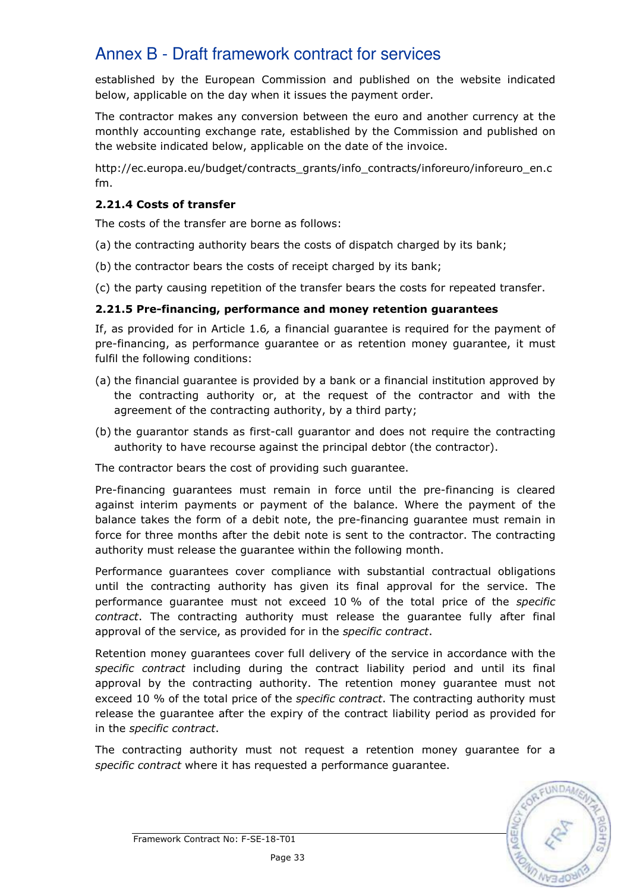established by the European Commission and published on the website indicated below, applicable on the day when it issues the payment order.

The contractor makes any conversion between the euro and another currency at the monthly accounting exchange rate, established by the Commission and published on the website indicated below, applicable on the date of the invoice.

http://ec.europa.eu/budget/contracts\_grants/info\_contracts/inforeuro/inforeuro\_en.c fm.

## 2.21.4 Costs of transfer

The costs of the transfer are borne as follows:

- (a) the contracting authority bears the costs of dispatch charged by its bank;
- (b) the contractor bears the costs of receipt charged by its bank;
- (c) the party causing repetition of the transfer bears the costs for repeated transfer.

## 2.21.5 Pre-financing, performance and money retention guarantees

If, as provided for in Article 1.6, a financial guarantee is required for the payment of pre-financing, as performance guarantee or as retention money guarantee, it must fulfil the following conditions:

- (a) the financial guarantee is provided by a bank or a financial institution approved by the contracting authority or, at the request of the contractor and with the agreement of the contracting authority, by a third party;
- (b) the guarantor stands as first-call guarantor and does not require the contracting authority to have recourse against the principal debtor (the contractor).

The contractor bears the cost of providing such guarantee.

Pre-financing guarantees must remain in force until the pre-financing is cleared against interim payments or payment of the balance. Where the payment of the balance takes the form of a debit note, the pre-financing guarantee must remain in force for three months after the debit note is sent to the contractor. The contracting authority must release the guarantee within the following month.

Performance guarantees cover compliance with substantial contractual obligations until the contracting authority has given its final approval for the service. The performance guarantee must not exceed 10 % of the total price of the specific contract. The contracting authority must release the guarantee fully after final approval of the service, as provided for in the specific contract.

Retention money guarantees cover full delivery of the service in accordance with the specific contract including during the contract liability period and until its final approval by the contracting authority. The retention money guarantee must not exceed 10 % of the total price of the *specific contract*. The contracting authority must release the guarantee after the expiry of the contract liability period as provided for in the specific contract.

The contracting authority must not request a retention money guarantee for a specific contract where it has requested a performance guarantee.

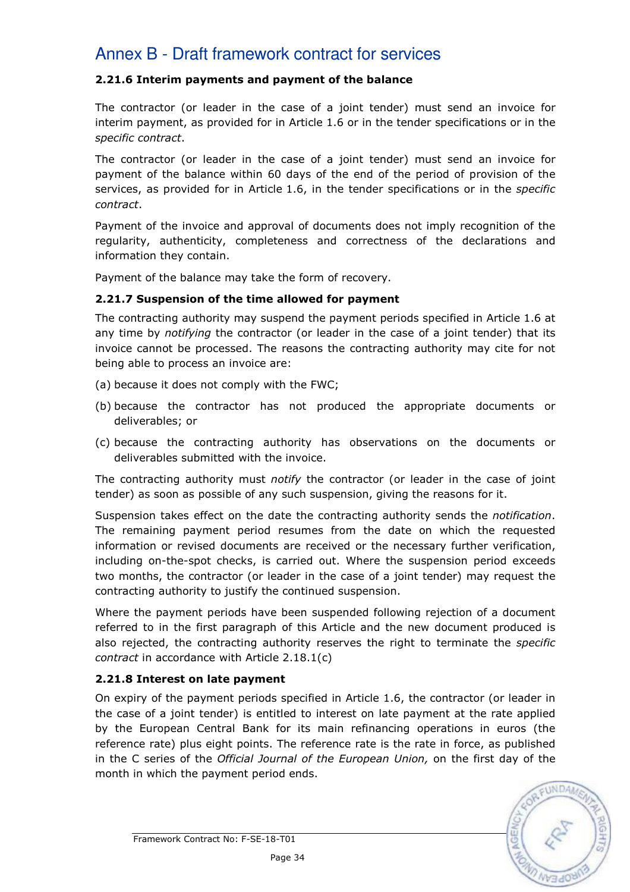## 2.21.6 Interim payments and payment of the balance

The contractor (or leader in the case of a joint tender) must send an invoice for interim payment, as provided for in Article 1.6 or in the tender specifications or in the specific contract.

The contractor (or leader in the case of a joint tender) must send an invoice for payment of the balance within 60 days of the end of the period of provision of the services, as provided for in Article 1.6, in the tender specifications or in the specific contract.

Payment of the invoice and approval of documents does not imply recognition of the regularity, authenticity, completeness and correctness of the declarations and information they contain.

Payment of the balance may take the form of recovery.

## 2.21.7 Suspension of the time allowed for payment

The contracting authority may suspend the payment periods specified in Article 1.6 at any time by *notifying* the contractor (or leader in the case of a joint tender) that its invoice cannot be processed. The reasons the contracting authority may cite for not being able to process an invoice are:

- (a) because it does not comply with the FWC;
- (b) because the contractor has not produced the appropriate documents or deliverables; or
- (c) because the contracting authority has observations on the documents or deliverables submitted with the invoice.

The contracting authority must notify the contractor (or leader in the case of joint tender) as soon as possible of any such suspension, giving the reasons for it.

Suspension takes effect on the date the contracting authority sends the notification. The remaining payment period resumes from the date on which the requested information or revised documents are received or the necessary further verification, including on-the-spot checks, is carried out. Where the suspension period exceeds two months, the contractor (or leader in the case of a joint tender) may request the contracting authority to justify the continued suspension.

Where the payment periods have been suspended following rejection of a document referred to in the first paragraph of this Article and the new document produced is also rejected, the contracting authority reserves the right to terminate the *specific* contract in accordance with Article 2.18.1(c)

## 2.21.8 Interest on late payment

On expiry of the payment periods specified in Article 1.6, the contractor (or leader in the case of a joint tender) is entitled to interest on late payment at the rate applied by the European Central Bank for its main refinancing operations in euros (the reference rate) plus eight points. The reference rate is the rate in force, as published in the C series of the Official Journal of the European Union, on the first day of the month in which the payment period ends.

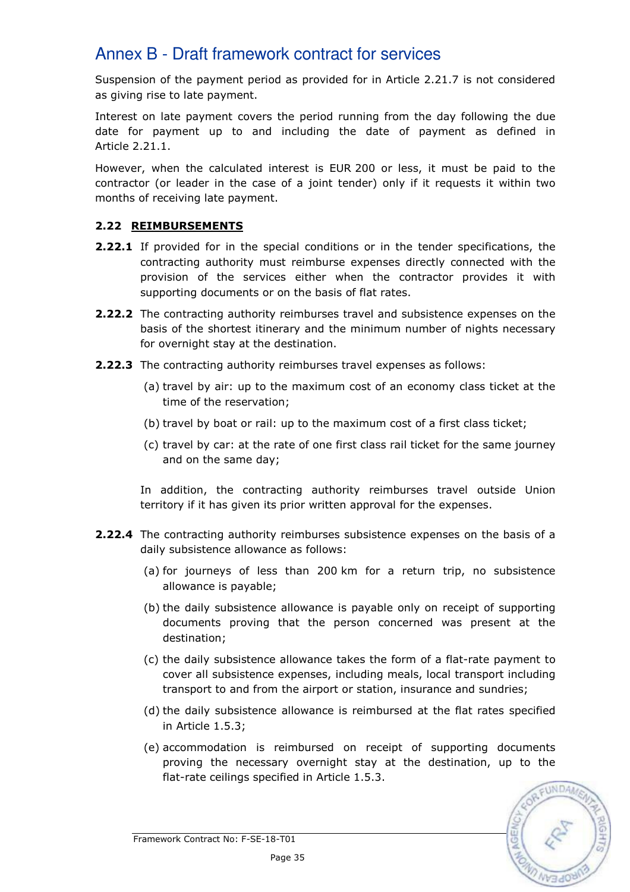Suspension of the payment period as provided for in Article 2.21.7 is not considered as giving rise to late payment.

Interest on late payment covers the period running from the day following the due date for payment up to and including the date of payment as defined in Article 2.21.1.

However, when the calculated interest is EUR 200 or less, it must be paid to the contractor (or leader in the case of a joint tender) only if it requests it within two months of receiving late payment.

## 2.22 REIMBURSEMENTS

- 2.22.1 If provided for in the special conditions or in the tender specifications, the contracting authority must reimburse expenses directly connected with the provision of the services either when the contractor provides it with supporting documents or on the basis of flat rates.
- **2.22.2** The contracting authority reimburses travel and subsistence expenses on the basis of the shortest itinerary and the minimum number of nights necessary for overnight stay at the destination.
- 2.22.3 The contracting authority reimburses travel expenses as follows:
	- (a) travel by air: up to the maximum cost of an economy class ticket at the time of the reservation;
	- (b) travel by boat or rail: up to the maximum cost of a first class ticket;
	- (c) travel by car: at the rate of one first class rail ticket for the same journey and on the same day;

In addition, the contracting authority reimburses travel outside Union territory if it has given its prior written approval for the expenses.

- 2.22.4 The contracting authority reimburses subsistence expenses on the basis of a daily subsistence allowance as follows:
	- (a) for journeys of less than 200 km for a return trip, no subsistence allowance is payable;
	- (b) the daily subsistence allowance is payable only on receipt of supporting documents proving that the person concerned was present at the destination;
	- (c) the daily subsistence allowance takes the form of a flat-rate payment to cover all subsistence expenses, including meals, local transport including transport to and from the airport or station, insurance and sundries;
	- (d) the daily subsistence allowance is reimbursed at the flat rates specified in Article 1.5.3;
	- (e) accommodation is reimbursed on receipt of supporting documents proving the necessary overnight stay at the destination, up to the flat-rate ceilings specified in Article 1.5.3.

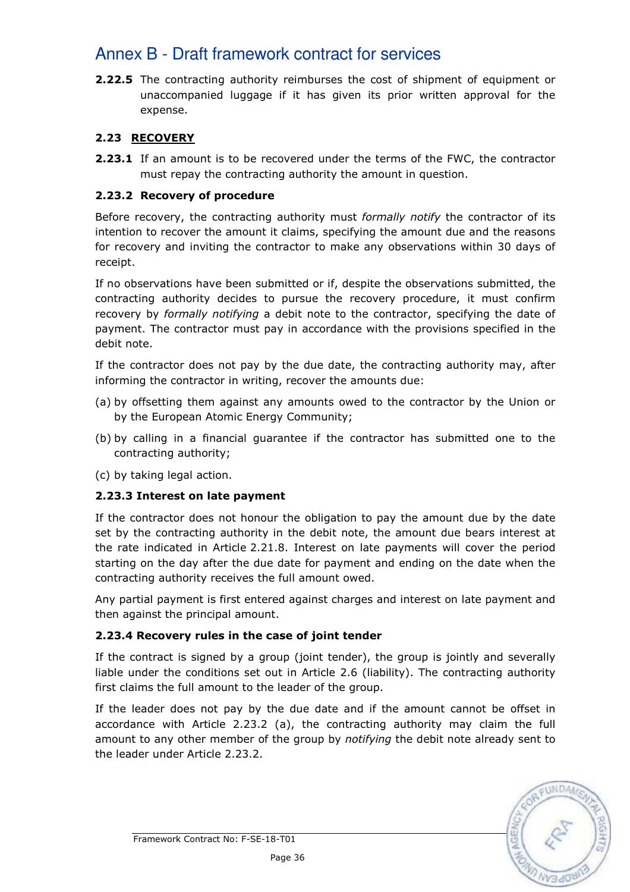**2.22.5** The contracting authority reimburses the cost of shipment of equipment or unaccompanied luggage if it has given its prior written approval for the expense.

# 2.23 RECOVERY

**2.23.1** If an amount is to be recovered under the terms of the FWC, the contractor must repay the contracting authority the amount in question.

# 2.23.2 Recovery of procedure

Before recovery, the contracting authority must formally notify the contractor of its intention to recover the amount it claims, specifying the amount due and the reasons for recovery and inviting the contractor to make any observations within 30 days of receipt.

If no observations have been submitted or if, despite the observations submitted, the contracting authority decides to pursue the recovery procedure, it must confirm recovery by formally notifying a debit note to the contractor, specifying the date of payment. The contractor must pay in accordance with the provisions specified in the debit note.

If the contractor does not pay by the due date, the contracting authority may, after informing the contractor in writing, recover the amounts due:

- (a) by offsetting them against any amounts owed to the contractor by the Union or by the European Atomic Energy Community;
- (b) by calling in a financial guarantee if the contractor has submitted one to the contracting authority;
- (c) by taking legal action.

## 2.23.3 Interest on late payment

If the contractor does not honour the obligation to pay the amount due by the date set by the contracting authority in the debit note, the amount due bears interest at the rate indicated in Article 2.21.8. Interest on late payments will cover the period starting on the day after the due date for payment and ending on the date when the contracting authority receives the full amount owed.

Any partial payment is first entered against charges and interest on late payment and then against the principal amount.

## 2.23.4 Recovery rules in the case of joint tender

If the contract is signed by a group (joint tender), the group is jointly and severally liable under the conditions set out in Article 2.6 (liability). The contracting authority first claims the full amount to the leader of the group.

If the leader does not pay by the due date and if the amount cannot be offset in accordance with Article 2.23.2 (a), the contracting authority may claim the full amount to any other member of the group by *notifying* the debit note already sent to the leader under Article 2.23.2.

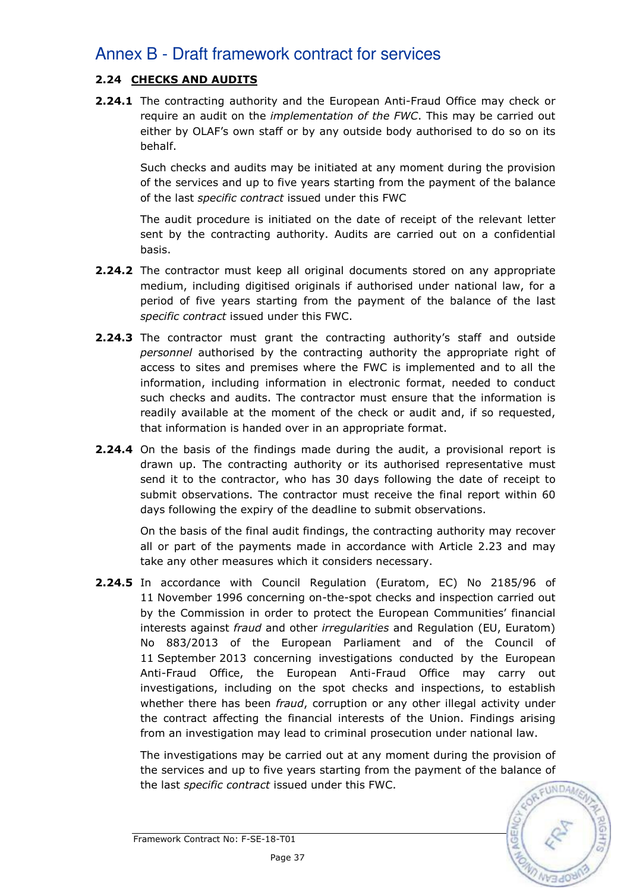# 2.24 CHECKS AND AUDITS

2.24.1 The contracting authority and the European Anti-Fraud Office may check or require an audit on the *implementation of the FWC*. This may be carried out either by OLAF's own staff or by any outside body authorised to do so on its behalf.

Such checks and audits may be initiated at any moment during the provision of the services and up to five years starting from the payment of the balance of the last specific contract issued under this FWC

The audit procedure is initiated on the date of receipt of the relevant letter sent by the contracting authority. Audits are carried out on a confidential basis.

- **2.24.2** The contractor must keep all original documents stored on any appropriate medium, including digitised originals if authorised under national law, for a period of five years starting from the payment of the balance of the last specific contract issued under this FWC.
- **2.24.3** The contractor must grant the contracting authority's staff and outside personnel authorised by the contracting authority the appropriate right of access to sites and premises where the FWC is implemented and to all the information, including information in electronic format, needed to conduct such checks and audits. The contractor must ensure that the information is readily available at the moment of the check or audit and, if so requested, that information is handed over in an appropriate format.
- 2.24.4 On the basis of the findings made during the audit, a provisional report is drawn up. The contracting authority or its authorised representative must send it to the contractor, who has 30 days following the date of receipt to submit observations. The contractor must receive the final report within 60 days following the expiry of the deadline to submit observations.

On the basis of the final audit findings, the contracting authority may recover all or part of the payments made in accordance with Article 2.23 and may take any other measures which it considers necessary.

2.24.5 In accordance with Council Regulation (Euratom, EC) No 2185/96 of 11 November 1996 concerning on-the-spot checks and inspection carried out by the Commission in order to protect the European Communities' financial interests against fraud and other irregularities and Regulation (EU, Euratom) No 883/2013 of the European Parliament and of the Council of 11 September 2013 concerning investigations conducted by the European Anti-Fraud Office, the European Anti-Fraud Office may carry out investigations, including on the spot checks and inspections, to establish whether there has been *fraud,* corruption or any other illegal activity under the contract affecting the financial interests of the Union. Findings arising from an investigation may lead to criminal prosecution under national law.

 The investigations may be carried out at any moment during the provision of the services and up to five years starting from the payment of the balance of the last specific contract issued under this FWC.

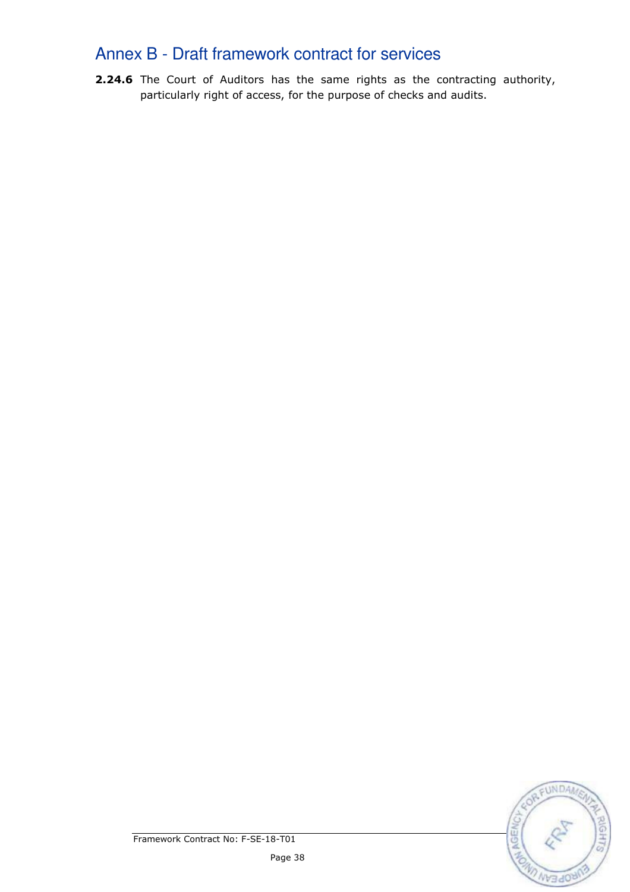2.24.6 The Court of Auditors has the same rights as the contracting authority, particularly right of access, for the purpose of checks and audits.

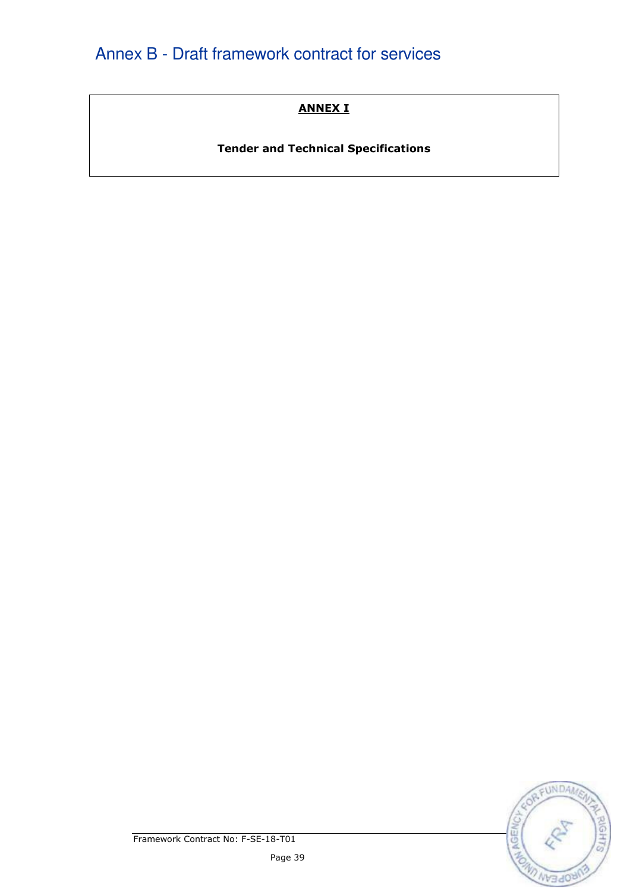# ANNEX I

Tender and Technical Specifications

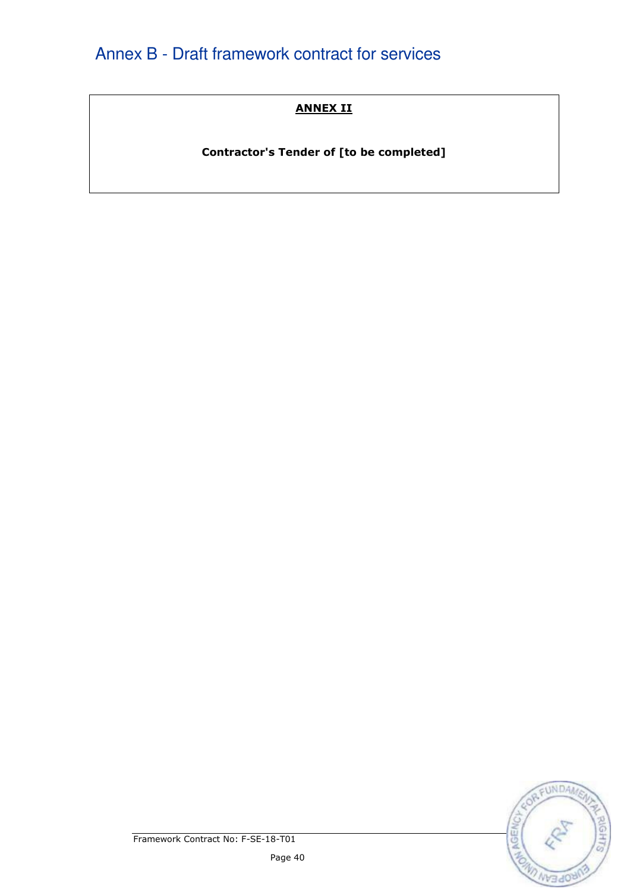# ANNEX II

Contractor's Tender of [to be completed]

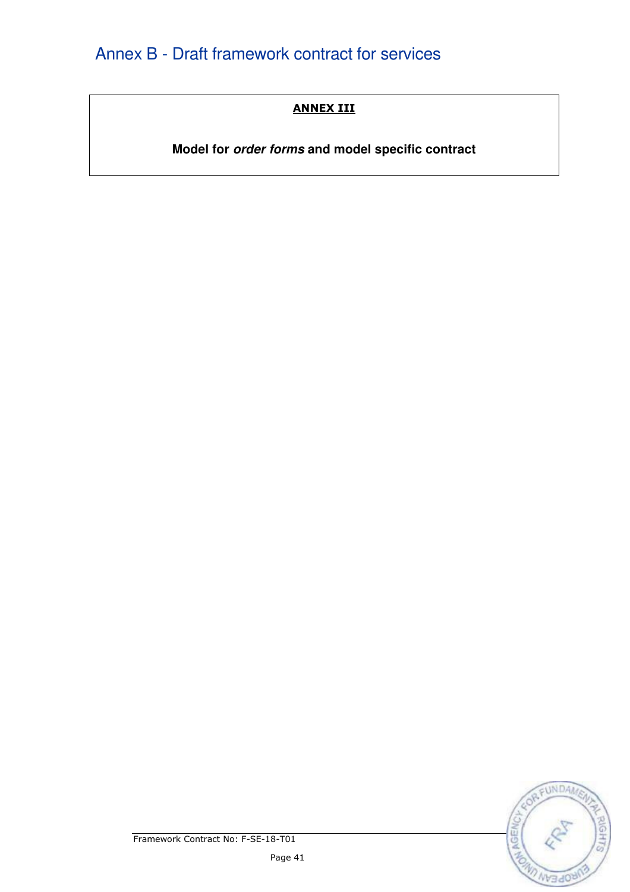# ANNEX III

**Model for order forms and model specific contract**

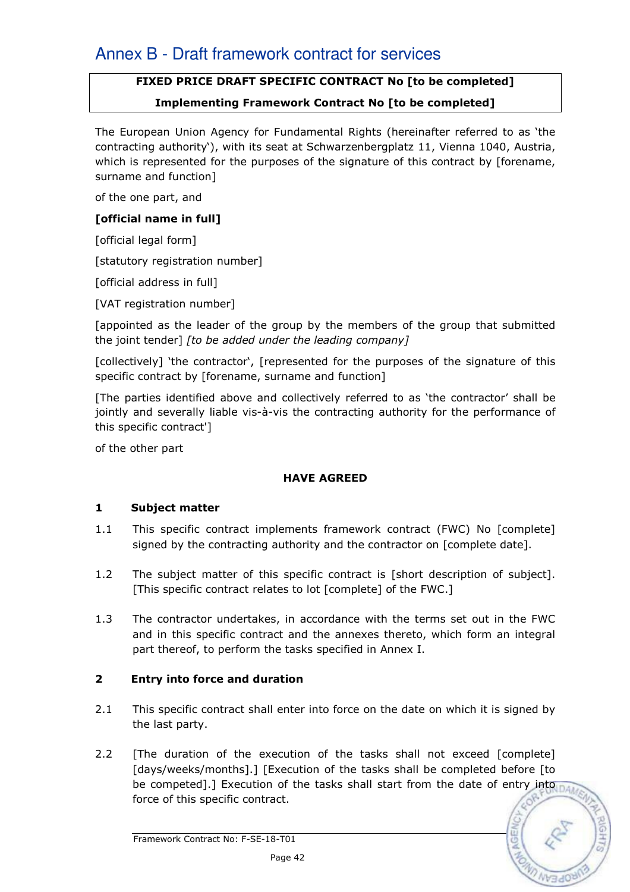# FIXED PRICE DRAFT SPECIFIC CONTRACT No [to be completed]

## Implementing Framework Contract No [to be completed]

The European Union Agency for Fundamental Rights (hereinafter referred to as 'the contracting authority'), with its seat at Schwarzenbergplatz 11, Vienna 1040, Austria, which is represented for the purposes of the signature of this contract by [forename, surname and function]

of the one part, and

### [official name in full]

[official legal form]

[statutory registration number]

[official address in full]

[VAT registration number]

[appointed as the leader of the group by the members of the group that submitted the joint tender] [to be added under the leading company]

[collectively] 'the contractor', [represented for the purposes of the signature of this specific contract by [forename, surname and function]

[The parties identified above and collectively referred to as 'the contractor' shall be jointly and severally liable vis-à-vis the contracting authority for the performance of this specific contract']

of the other part

## HAVE AGREED

#### 1 Subject matter

- 1.1 This specific contract implements framework contract (FWC) No [complete] signed by the contracting authority and the contractor on [complete date].
- 1.2 The subject matter of this specific contract is [short description of subject]. [This specific contract relates to lot [complete] of the FWC.]
- 1.3 The contractor undertakes, in accordance with the terms set out in the FWC and in this specific contract and the annexes thereto, which form an integral part thereof, to perform the tasks specified in Annex I.

## 2 Entry into force and duration

- 2.1 This specific contract shall enter into force on the date on which it is signed by the last party.
- 2.2 [The duration of the execution of the tasks shall not exceed [complete] [days/weeks/months].] [Execution of the tasks shall be completed before [to be competed].] Execution of the tasks shall start from the date of entry into force of this specific contract.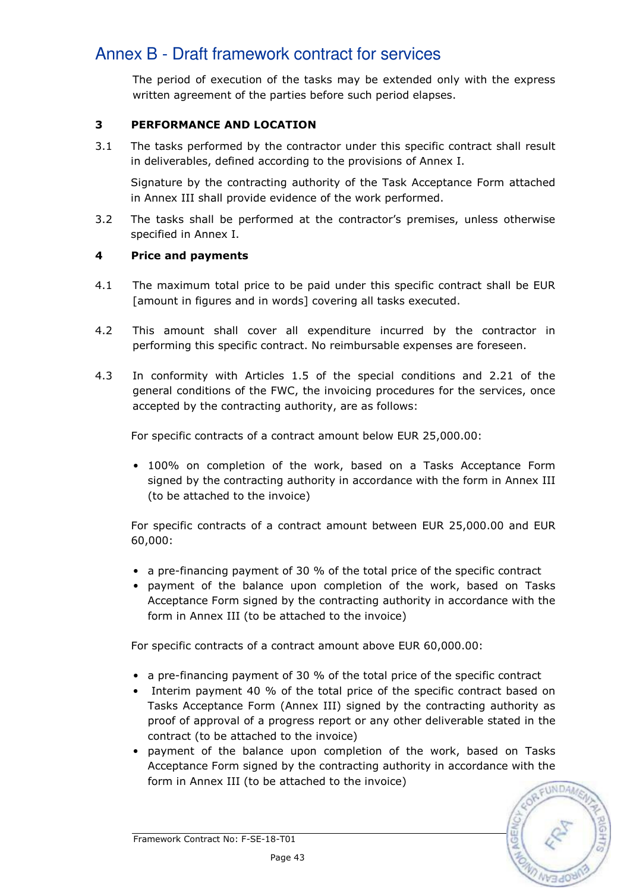The period of execution of the tasks may be extended only with the express written agreement of the parties before such period elapses.

## 3 PERFORMANCE AND LOCATION

3.1 The tasks performed by the contractor under this specific contract shall result in deliverables, defined according to the provisions of Annex I.

 Signature by the contracting authority of the Task Acceptance Form attached in Annex III shall provide evidence of the work performed.

3.2 The tasks shall be performed at the contractor's premises, unless otherwise specified in Annex I.

## 4 Price and payments

- 4.1 The maximum total price to be paid under this specific contract shall be EUR [amount in figures and in words] covering all tasks executed.
- 4.2 This amount shall cover all expenditure incurred by the contractor in performing this specific contract. No reimbursable expenses are foreseen.
- 4.3 In conformity with Articles 1.5 of the special conditions and 2.21 of the general conditions of the FWC, the invoicing procedures for the services, once accepted by the contracting authority, are as follows:

For specific contracts of a contract amount below EUR 25,000.00:

• 100% on completion of the work, based on a Tasks Acceptance Form signed by the contracting authority in accordance with the form in Annex III (to be attached to the invoice)

For specific contracts of a contract amount between EUR 25,000.00 and EUR 60,000:

- a pre-financing payment of 30 % of the total price of the specific contract
- payment of the balance upon completion of the work, based on Tasks Acceptance Form signed by the contracting authority in accordance with the form in Annex III (to be attached to the invoice)

For specific contracts of a contract amount above EUR 60,000.00:

- a pre-financing payment of 30 % of the total price of the specific contract
- Interim payment 40 % of the total price of the specific contract based on Tasks Acceptance Form (Annex III) signed by the contracting authority as proof of approval of a progress report or any other deliverable stated in the contract (to be attached to the invoice)
- payment of the balance upon completion of the work, based on Tasks Acceptance Form signed by the contracting authority in accordance with the form in Annex III (to be attached to the invoice)

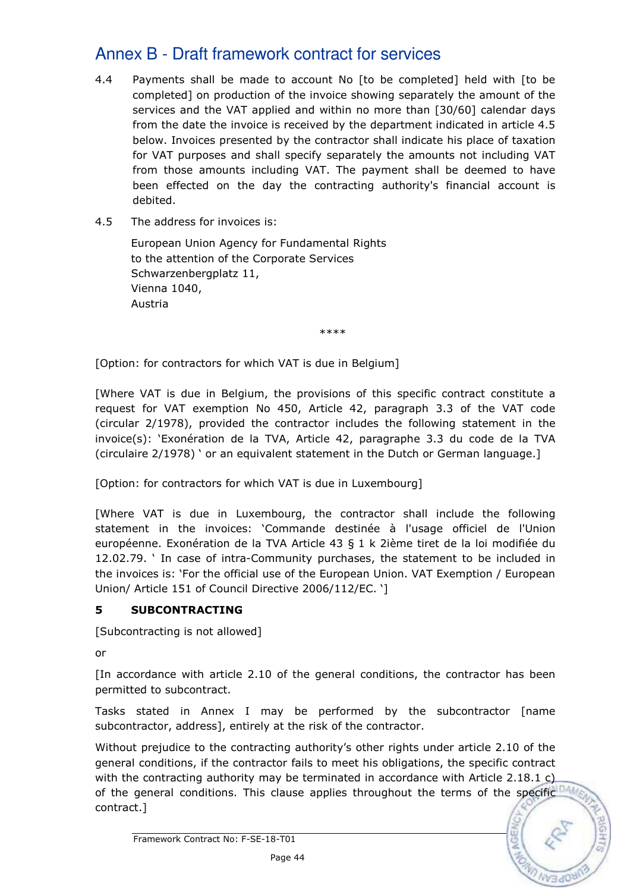- 4.4 Payments shall be made to account No [to be completed] held with [to be completed] on production of the invoice showing separately the amount of the services and the VAT applied and within no more than [30/60] calendar days from the date the invoice is received by the department indicated in article 4.5 below. Invoices presented by the contractor shall indicate his place of taxation for VAT purposes and shall specify separately the amounts not including VAT from those amounts including VAT. The payment shall be deemed to have been effected on the day the contracting authority's financial account is debited.
- 4.5 The address for invoices is:

 European Union Agency for Fundamental Rights to the attention of the Corporate Services Schwarzenbergplatz 11, Vienna 1040, Austria

\*\*\*\*

[Option: for contractors for which VAT is due in Belgium]

[Where VAT is due in Belgium, the provisions of this specific contract constitute a request for VAT exemption No 450, Article 42, paragraph 3.3 of the VAT code (circular 2/1978), provided the contractor includes the following statement in the invoice(s): 'Exonération de la TVA, Article 42, paragraphe 3.3 du code de la TVA (circulaire 2/1978) ' or an equivalent statement in the Dutch or German language.]

[Option: for contractors for which VAT is due in Luxembourg]

[Where VAT is due in Luxembourg, the contractor shall include the following statement in the invoices: 'Commande destinée à l'usage officiel de l'Union européenne. Exonération de la TVA Article 43 § 1 k 2ième tiret de la loi modifiée du 12.02.79. ' In case of intra-Community purchases, the statement to be included in the invoices is: 'For the official use of the European Union. VAT Exemption / European Union/ Article 151 of Council Directive 2006/112/EC. ']

## 5 SUBCONTRACTING

[Subcontracting is not allowed]

or

[In accordance with article 2.10 of the general conditions, the contractor has been permitted to subcontract.

Tasks stated in Annex I may be performed by the subcontractor [name subcontractor, address], entirely at the risk of the contractor.

Without prejudice to the contracting authority's other rights under article 2.10 of the general conditions, if the contractor fails to meet his obligations, the specific contract with the contracting authority may be terminated in accordance with Article 2.18.1 c) of the general conditions. This clause applies throughout the terms of the specific DAM contract.]

Framework Contract No: F-SE-18-T01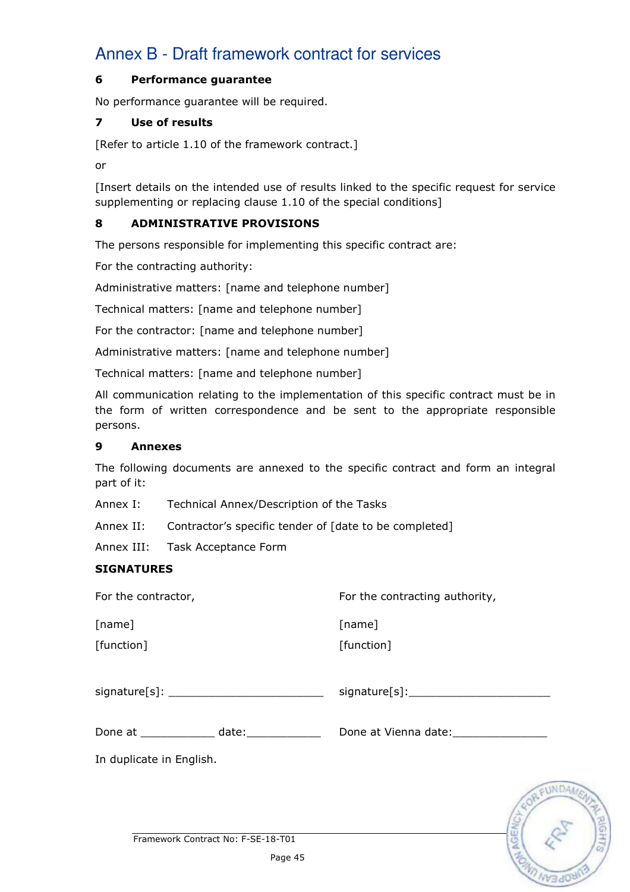#### 6 Performance guarantee

No performance guarantee will be required.

#### 7 Use of results

[Refer to article 1.10 of the framework contract.]

or

[Insert details on the intended use of results linked to the specific request for service supplementing or replacing clause 1.10 of the special conditions]

## 8 ADMINISTRATIVE PROVISIONS

The persons responsible for implementing this specific contract are:

For the contracting authority:

Administrative matters: [name and telephone number]

Technical matters: [name and telephone number]

For the contractor: [name and telephone number]

Administrative matters: [name and telephone number]

Technical matters: [name and telephone number]

All communication relating to the implementation of this specific contract must be in the form of written correspondence and be sent to the appropriate responsible persons.

#### 9 Annexes

The following documents are annexed to the specific contract and form an integral part of it:

Annex I: Technical Annex/Description of the Tasks

Annex II: Contractor's specific tender of [date to be completed]

Annex III: Task Acceptance Form

## **SIGNATURES**

| For the contractor,                           | For the contracting authority, |
|-----------------------------------------------|--------------------------------|
| [name]<br>[function]                          | [name]<br>[function]           |
| signature[s]: _______________________________ |                                |
| Done at _____________ date:______________     | Done at Vienna date:           |
| In duplicate in English.                      |                                |
|                                               | ORFUN                          |

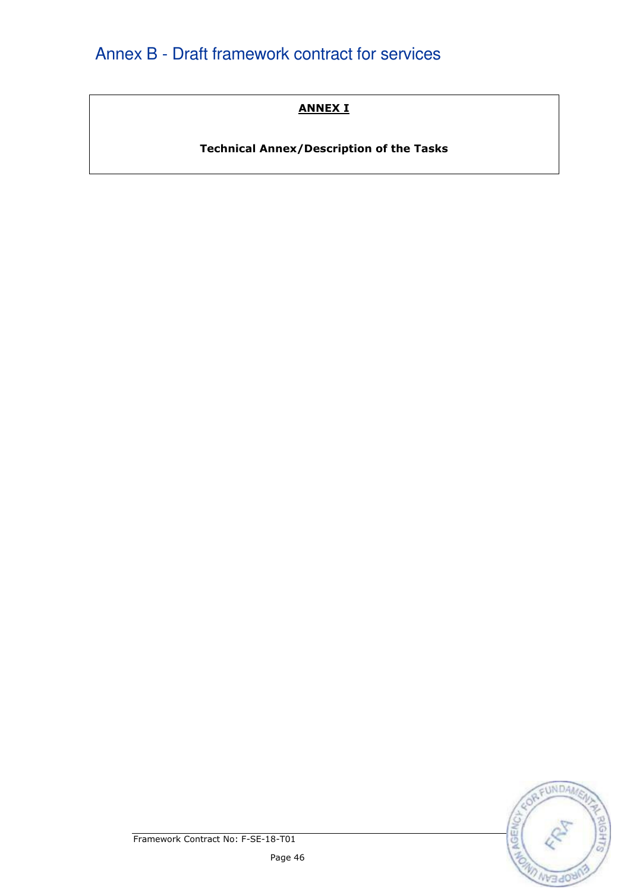# ANNEX I

Technical Annex/Description of the Tasks

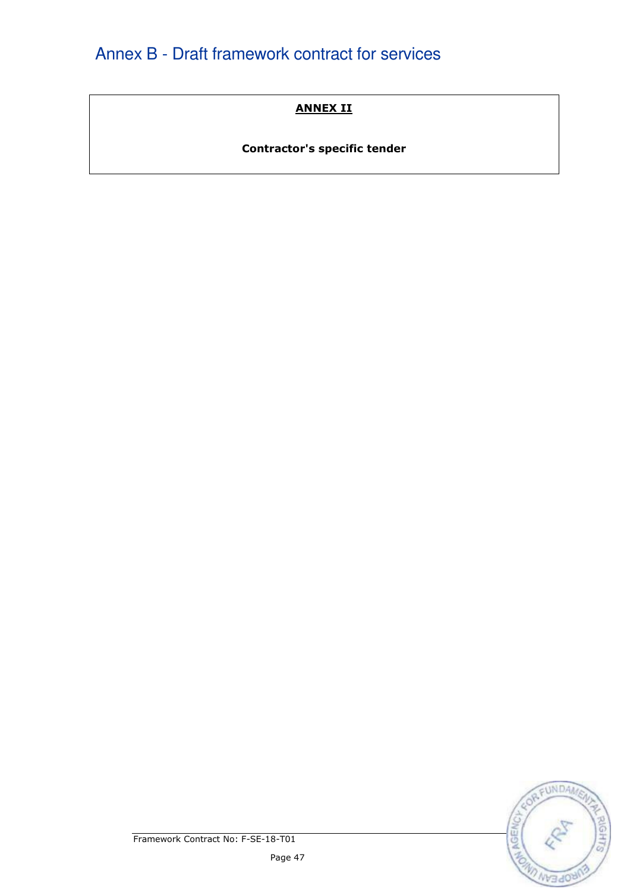# ANNEX II

# Contractor's specific tender

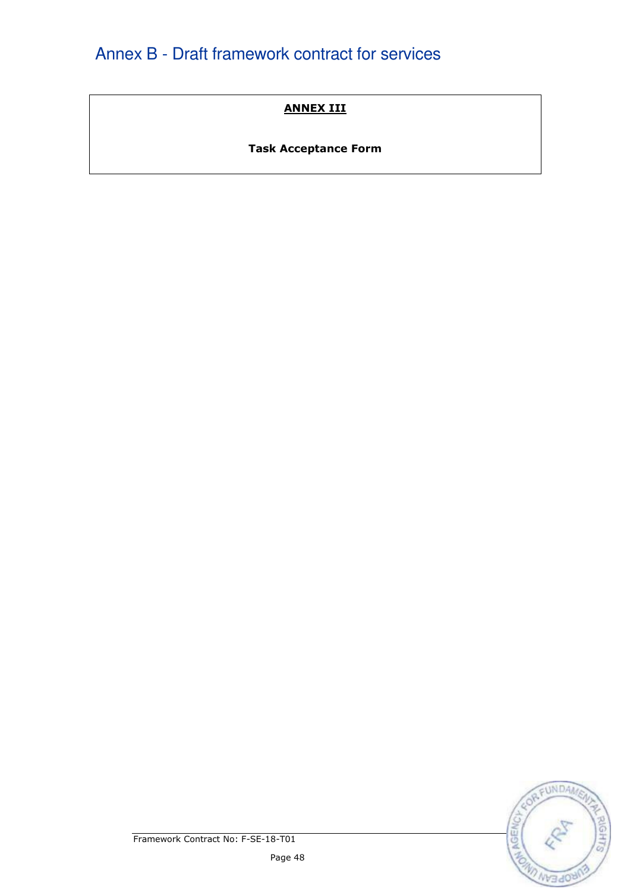# ANNEX III

# Task Acceptance Form

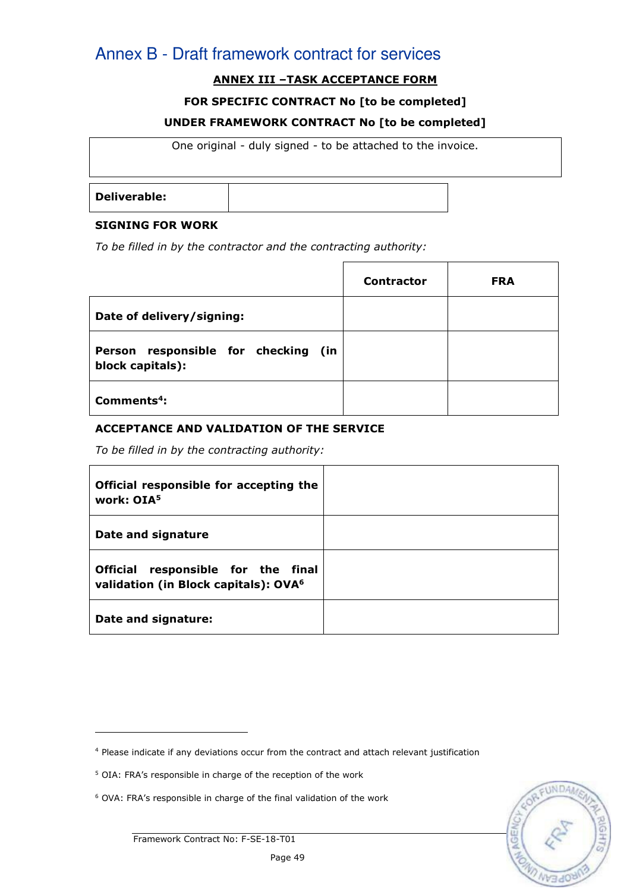# ANNEX III –TASK ACCEPTANCE FORM

#### FOR SPECIFIC CONTRACT No [to be completed]

#### UNDER FRAMEWORK CONTRACT No [to be completed]

One original - duly signed - to be attached to the invoice.

Deliverable:

#### SIGNING FOR WORK

To be filled in by the contractor and the contracting authority:

|                                                         | <b>Contractor</b> | <b>FRA</b> |
|---------------------------------------------------------|-------------------|------------|
| Date of delivery/signing:                               |                   |            |
| Person responsible for checking (in<br>block capitals): |                   |            |
| $Commonents4$ :                                         |                   |            |

#### ACCEPTANCE AND VALIDATION OF THE SERVICE

To be filled in by the contracting authority:

| Official responsible for accepting the<br>work: OIA <sup>5</sup>                       |  |
|----------------------------------------------------------------------------------------|--|
| Date and signature                                                                     |  |
| Official responsible for the final<br>validation (in Block capitals): OVA <sup>6</sup> |  |
| Date and signature:                                                                    |  |

j.

<sup>4</sup> Please indicate if any deviations occur from the contract and attach relevant justification

<sup>&</sup>lt;sup>5</sup> OIA: FRA's responsible in charge of the reception of the work

<sup>6</sup> OVA: FRA's responsible in charge of the final validation of the work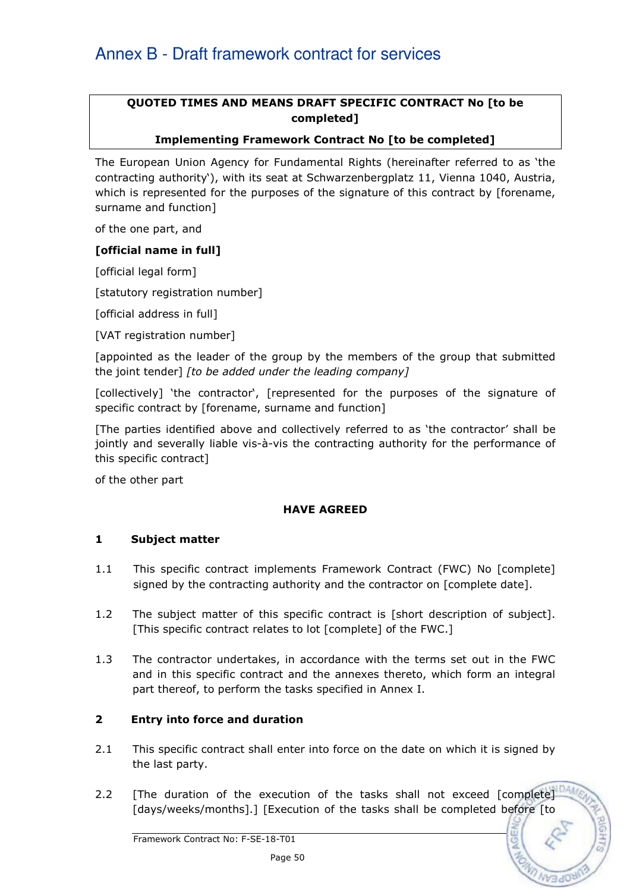## QUOTED TIMES AND MEANS DRAFT SPECIFIC CONTRACT No [to be completed]

### Implementing Framework Contract No [to be completed]

The European Union Agency for Fundamental Rights (hereinafter referred to as 'the contracting authority'), with its seat at Schwarzenbergplatz 11, Vienna 1040, Austria, which is represented for the purposes of the signature of this contract by [forename, surname and function]

of the one part, and

#### [official name in full]

[official legal form]

[statutory registration number]

[official address in full]

[VAT registration number]

[appointed as the leader of the group by the members of the group that submitted the joint tender] [to be added under the leading company]

[collectively] 'the contractor', [represented for the purposes of the signature of specific contract by [forename, surname and function]

[The parties identified above and collectively referred to as 'the contractor' shall be jointly and severally liable vis-à-vis the contracting authority for the performance of this specific contract]

of the other part

#### HAVE AGREED

#### 1 Subject matter

- 1.1 This specific contract implements Framework Contract (FWC) No [complete] signed by the contracting authority and the contractor on [complete date].
- 1.2 The subject matter of this specific contract is [short description of subject]. [This specific contract relates to lot [complete] of the FWC.]
- 1.3 The contractor undertakes, in accordance with the terms set out in the FWC and in this specific contract and the annexes thereto, which form an integral part thereof, to perform the tasks specified in Annex I.

## 2 Entry into force and duration

- 2.1 This specific contract shall enter into force on the date on which it is signed by the last party.
- 2.2 [The duration of the execution of the tasks shall not exceed [complete] [days/weeks/months].] [Execution of the tasks shall be completed before [to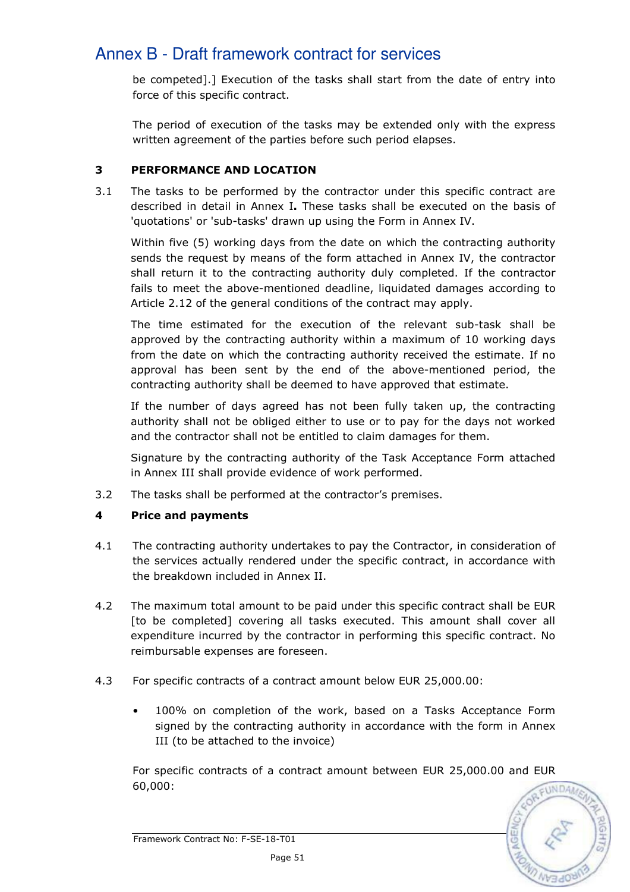be competed].] Execution of the tasks shall start from the date of entry into force of this specific contract.

The period of execution of the tasks may be extended only with the express written agreement of the parties before such period elapses.

## 3 PERFORMANCE AND LOCATION

3.1 The tasks to be performed by the contractor under this specific contract are described in detail in Annex I. These tasks shall be executed on the basis of 'quotations' or 'sub-tasks' drawn up using the Form in Annex IV.

Within five (5) working days from the date on which the contracting authority sends the request by means of the form attached in Annex IV, the contractor shall return it to the contracting authority duly completed. If the contractor fails to meet the above-mentioned deadline, liquidated damages according to Article 2.12 of the general conditions of the contract may apply.

 The time estimated for the execution of the relevant sub-task shall be approved by the contracting authority within a maximum of 10 working days from the date on which the contracting authority received the estimate. If no approval has been sent by the end of the above-mentioned period, the contracting authority shall be deemed to have approved that estimate.

If the number of days agreed has not been fully taken up, the contracting authority shall not be obliged either to use or to pay for the days not worked and the contractor shall not be entitled to claim damages for them.

Signature by the contracting authority of the Task Acceptance Form attached in Annex III shall provide evidence of work performed.

3.2 The tasks shall be performed at the contractor's premises.

# 4 Price and payments

- 4.1 The contracting authority undertakes to pay the Contractor, in consideration of the services actually rendered under the specific contract, in accordance with the breakdown included in Annex II.
- 4.2 The maximum total amount to be paid under this specific contract shall be EUR [to be completed] covering all tasks executed. This amount shall cover all expenditure incurred by the contractor in performing this specific contract. No reimbursable expenses are foreseen.
- 4.3 For specific contracts of a contract amount below EUR 25,000.00:
	- 100% on completion of the work, based on a Tasks Acceptance Form signed by the contracting authority in accordance with the form in Annex III (to be attached to the invoice)

For specific contracts of a contract amount between EUR 25,000.00 and EUR 60,000:

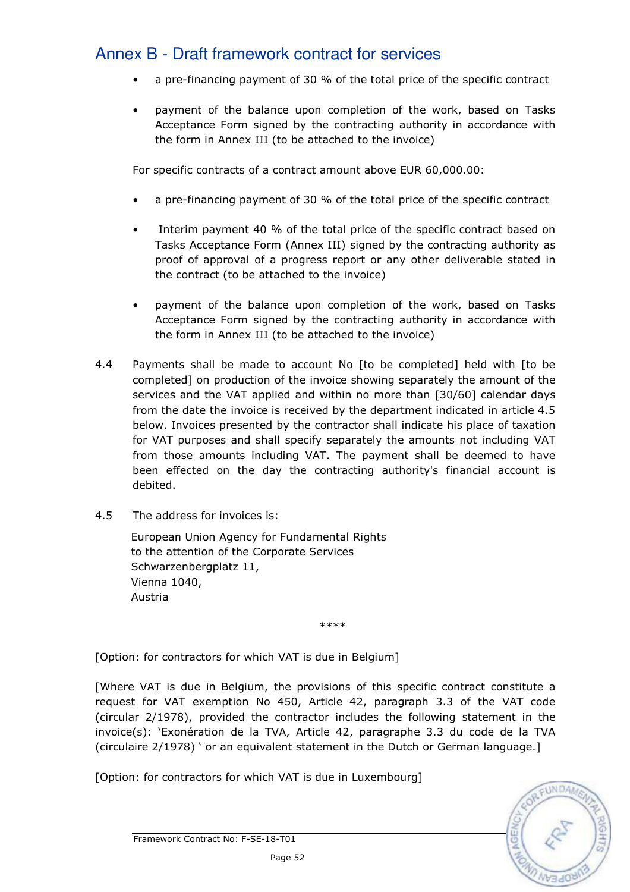- a pre-financing payment of 30 % of the total price of the specific contract
- payment of the balance upon completion of the work, based on Tasks Acceptance Form signed by the contracting authority in accordance with the form in Annex III (to be attached to the invoice)

For specific contracts of a contract amount above EUR 60,000.00:

- a pre-financing payment of 30 % of the total price of the specific contract
- Interim payment 40 % of the total price of the specific contract based on Tasks Acceptance Form (Annex III) signed by the contracting authority as proof of approval of a progress report or any other deliverable stated in the contract (to be attached to the invoice)
- payment of the balance upon completion of the work, based on Tasks Acceptance Form signed by the contracting authority in accordance with the form in Annex III (to be attached to the invoice)
- 4.4 Payments shall be made to account No [to be completed] held with [to be completed] on production of the invoice showing separately the amount of the services and the VAT applied and within no more than [30/60] calendar days from the date the invoice is received by the department indicated in article 4.5 below. Invoices presented by the contractor shall indicate his place of taxation for VAT purposes and shall specify separately the amounts not including VAT from those amounts including VAT. The payment shall be deemed to have been effected on the day the contracting authority's financial account is debited.
- 4.5 The address for invoices is:

 European Union Agency for Fundamental Rights to the attention of the Corporate Services Schwarzenbergplatz 11, Vienna 1040, Austria

\*\*\*\*

[Option: for contractors for which VAT is due in Belgium]

[Where VAT is due in Belgium, the provisions of this specific contract constitute a request for VAT exemption No 450, Article 42, paragraph 3.3 of the VAT code (circular 2/1978), provided the contractor includes the following statement in the invoice(s): 'Exonération de la TVA, Article 42, paragraphe 3.3 du code de la TVA (circulaire 2/1978) ' or an equivalent statement in the Dutch or German language.]

[Option: for contractors for which VAT is due in Luxembourg]

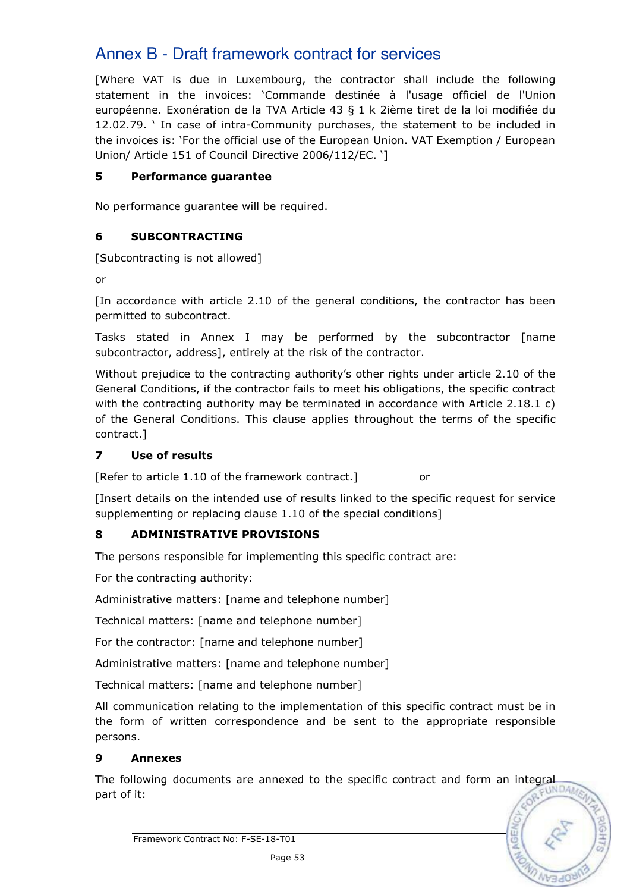[Where VAT is due in Luxembourg, the contractor shall include the following statement in the invoices: 'Commande destinée à l'usage officiel de l'Union européenne. Exonération de la TVA Article 43 § 1 k 2ième tiret de la loi modifiée du 12.02.79. ' In case of intra-Community purchases, the statement to be included in the invoices is: 'For the official use of the European Union. VAT Exemption / European Union/ Article 151 of Council Directive 2006/112/EC. ']

## 5 Performance guarantee

No performance guarantee will be required.

## 6 SUBCONTRACTING

[Subcontracting is not allowed]

or

[In accordance with article 2.10 of the general conditions, the contractor has been permitted to subcontract.

Tasks stated in Annex I may be performed by the subcontractor [name subcontractor, address], entirely at the risk of the contractor.

Without prejudice to the contracting authority's other rights under article 2.10 of the General Conditions, if the contractor fails to meet his obligations, the specific contract with the contracting authority may be terminated in accordance with Article 2.18.1 c) of the General Conditions. This clause applies throughout the terms of the specific contract.]

## 7 Use of results

[Refer to article 1.10 of the framework contract.] or

[Insert details on the intended use of results linked to the specific request for service supplementing or replacing clause 1.10 of the special conditions]

## 8 ADMINISTRATIVE PROVISIONS

The persons responsible for implementing this specific contract are:

For the contracting authority:

Administrative matters: [name and telephone number]

Technical matters: [name and telephone number]

For the contractor: [name and telephone number]

Administrative matters: [name and telephone number]

Technical matters: [name and telephone number]

All communication relating to the implementation of this specific contract must be in the form of written correspondence and be sent to the appropriate responsible persons.

## 9 Annexes

The following documents are annexed to the specific contract and form an integral part of it. part of it:

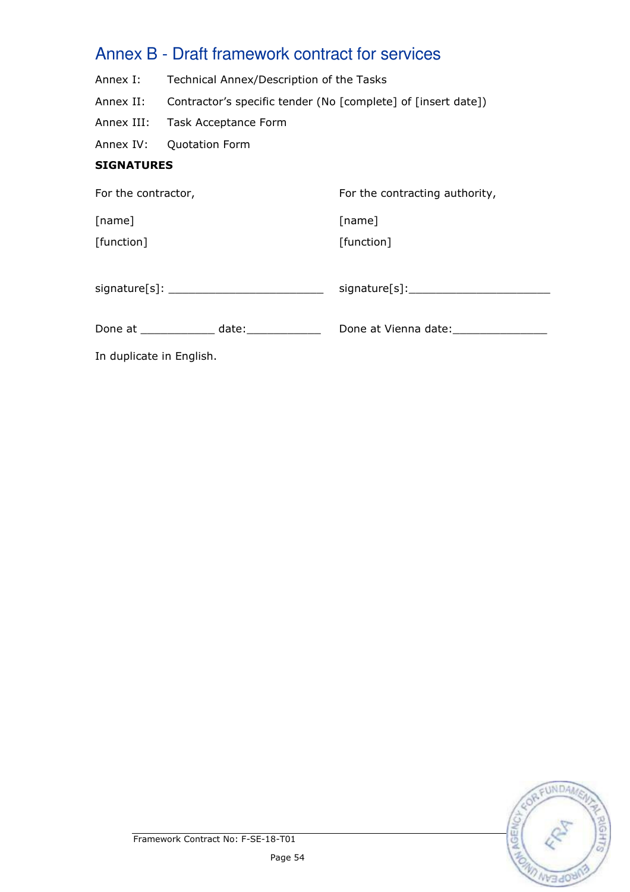- Annex I: Technical Annex/Description of the Tasks
- Annex II: Contractor's specific tender (No [complete] of [insert date])
- Annex III: Task Acceptance Form
- Annex IV: Quotation Form

# **SIGNATURES**

| For the contractor,  | For the contracting authority,            |
|----------------------|-------------------------------------------|
| [name]<br>[function] | [name]<br>[function]                      |
|                      |                                           |
| Done at date:        | Done at Vienna date: None at Vienna date: |

In duplicate in English.

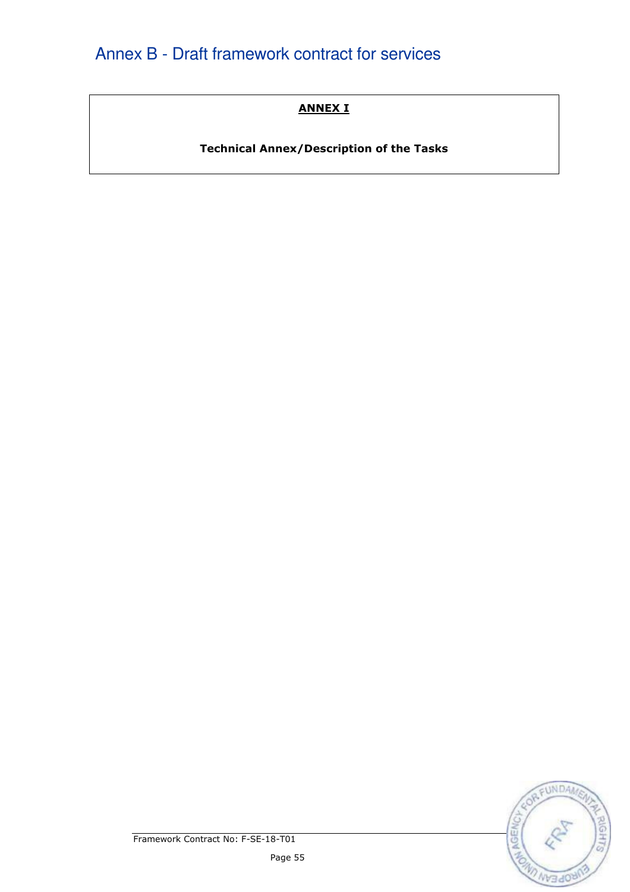# ANNEX I

Technical Annex/Description of the Tasks

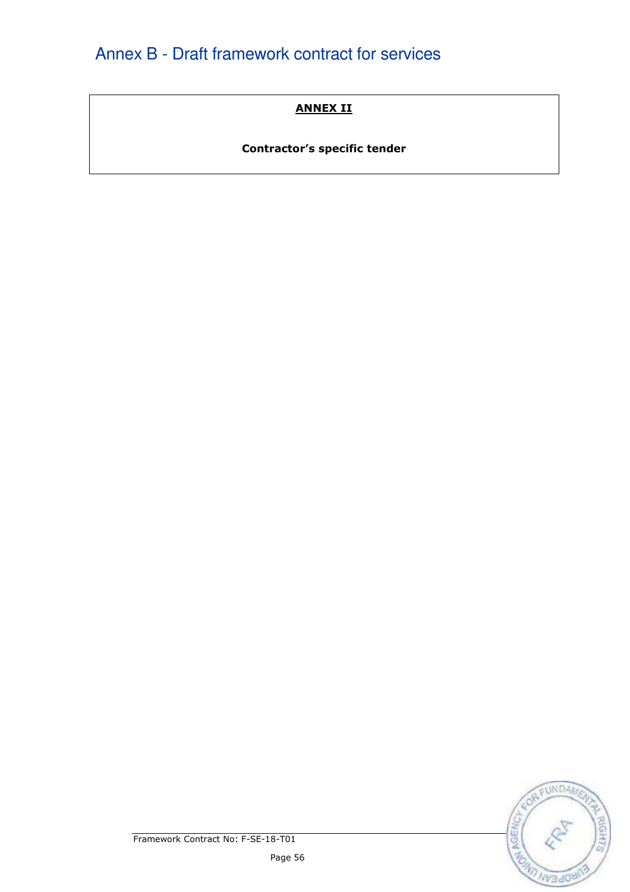# ANNEX II

# Contractor's specific tender

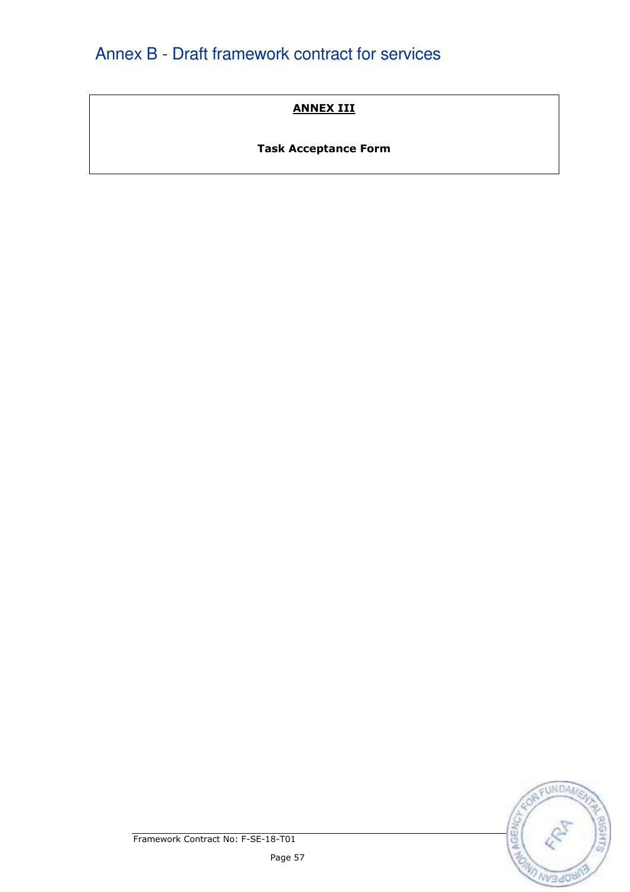# ANNEX III

# Task Acceptance Form

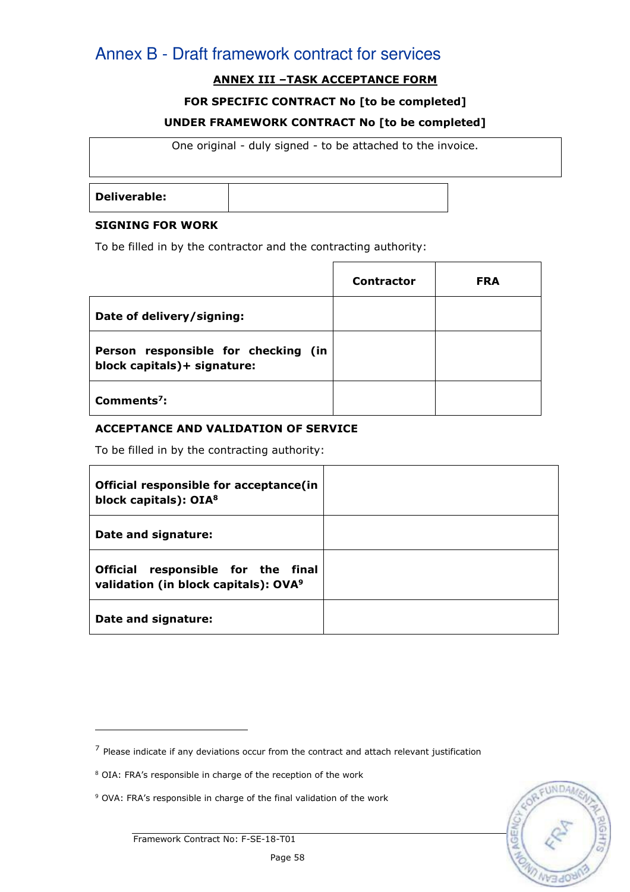# ANNEX III –TASK ACCEPTANCE FORM

#### FOR SPECIFIC CONTRACT No [to be completed]

#### UNDER FRAMEWORK CONTRACT No [to be completed]

One original - duly signed - to be attached to the invoice.

Deliverable:

#### SIGNING FOR WORK

To be filled in by the contractor and the contracting authority:

|                                                                    | <b>Contractor</b> | <b>FRA</b> |
|--------------------------------------------------------------------|-------------------|------------|
| Date of delivery/signing:                                          |                   |            |
| Person responsible for checking (in<br>block capitals)+ signature: |                   |            |
| Comments <sup>7</sup> :                                            |                   |            |

#### ACCEPTANCE AND VALIDATION OF SERVICE

To be filled in by the contracting authority:

| Official responsible for acceptance(in<br>block capitals): OIA <sup>8</sup>            |  |
|----------------------------------------------------------------------------------------|--|
| Date and signature:                                                                    |  |
| Official responsible for the final<br>validation (in block capitals): OVA <sup>9</sup> |  |
| Date and signature:                                                                    |  |

 $<sup>7</sup>$  Please indicate if any deviations occur from the contract and attach relevant justification</sup>

<sup>&</sup>lt;sup>8</sup> OIA: FRA's responsible in charge of the reception of the work

<sup>&</sup>lt;sup>9</sup> OVA: FRA's responsible in charge of the final validation of the work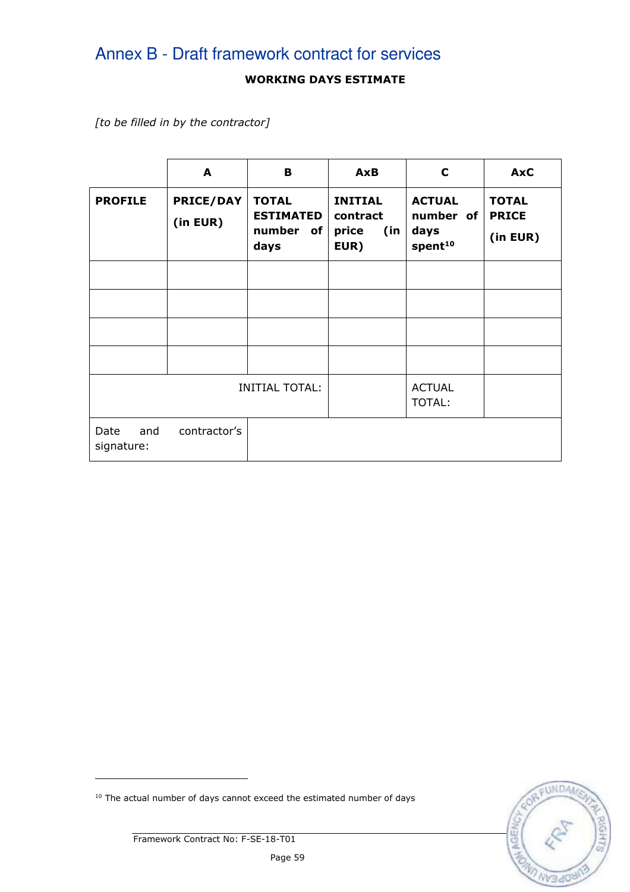## WORKING DAYS ESTIMATE

[to be filled in by the contractor]

|                           | A                            | B                                                     | <b>AxB</b>                                         | C                                                         | <b>AxC</b>                               |
|---------------------------|------------------------------|-------------------------------------------------------|----------------------------------------------------|-----------------------------------------------------------|------------------------------------------|
| <b>PROFILE</b>            | <b>PRICE/DAY</b><br>(in EUR) | <b>TOTAL</b><br><b>ESTIMATED</b><br>number of<br>days | <b>INITIAL</b><br>contract<br>price<br>(in<br>EUR) | <b>ACTUAL</b><br>number of<br>days<br>spent <sup>10</sup> | <b>TOTAL</b><br><b>PRICE</b><br>(in EUR) |
|                           |                              |                                                       |                                                    |                                                           |                                          |
|                           |                              |                                                       |                                                    |                                                           |                                          |
|                           |                              |                                                       |                                                    |                                                           |                                          |
|                           |                              |                                                       |                                                    |                                                           |                                          |
|                           |                              | <b>INITIAL TOTAL:</b>                                 |                                                    | <b>ACTUAL</b><br><b>TOTAL:</b>                            |                                          |
| Date<br>and<br>signature: | contractor's                 |                                                       |                                                    |                                                           |                                          |

 $10$  The actual number of days cannot exceed the estimated number of days



Framework Contract No: F-SE-18-T01

ł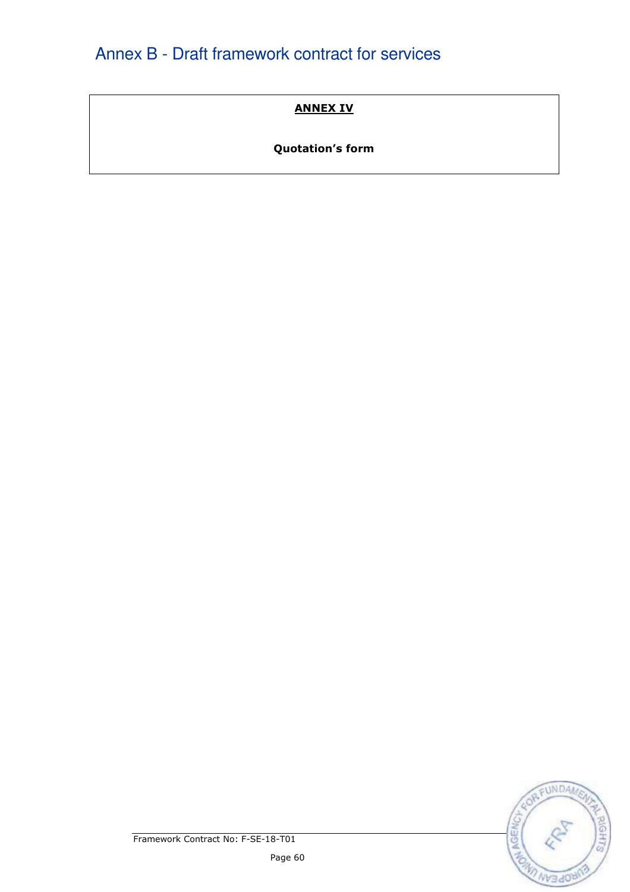## ANNEX IV

# Quotation's form

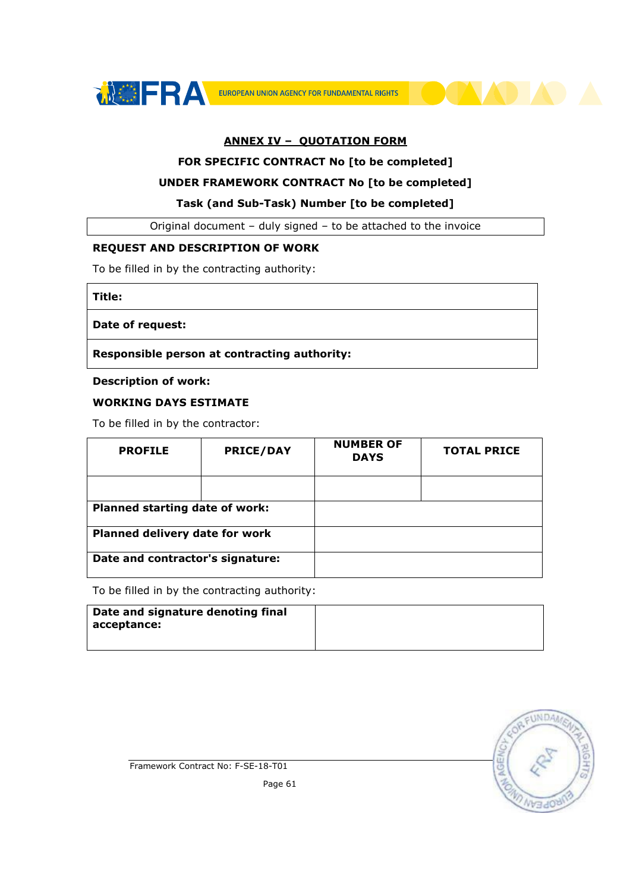



#### ANNEX IV – QUOTATION FORM

#### FOR SPECIFIC CONTRACT No [to be completed]

#### UNDER FRAMEWORK CONTRACT No [to be completed]

#### Task (and Sub-Task) Number [to be completed]

Original document – duly signed – to be attached to the invoice

#### REQUEST AND DESCRIPTION OF WORK

To be filled in by the contracting authority:

Title:

#### Date of request:

Responsible person at contracting authority:

#### Description of work:

#### WORKING DAYS ESTIMATE

To be filled in by the contractor:

| <b>PROFILE</b>                   | <b>PRICE/DAY</b> | <b>NUMBER OF</b><br><b>DAYS</b> | <b>TOTAL PRICE</b> |
|----------------------------------|------------------|---------------------------------|--------------------|
|                                  |                  |                                 |                    |
| Planned starting date of work:   |                  |                                 |                    |
| Planned delivery date for work   |                  |                                 |                    |
| Date and contractor's signature: |                  |                                 |                    |

To be filled in by the contracting authority:

| Date and signature denoting final |  |
|-----------------------------------|--|
| acceptance:                       |  |
|                                   |  |

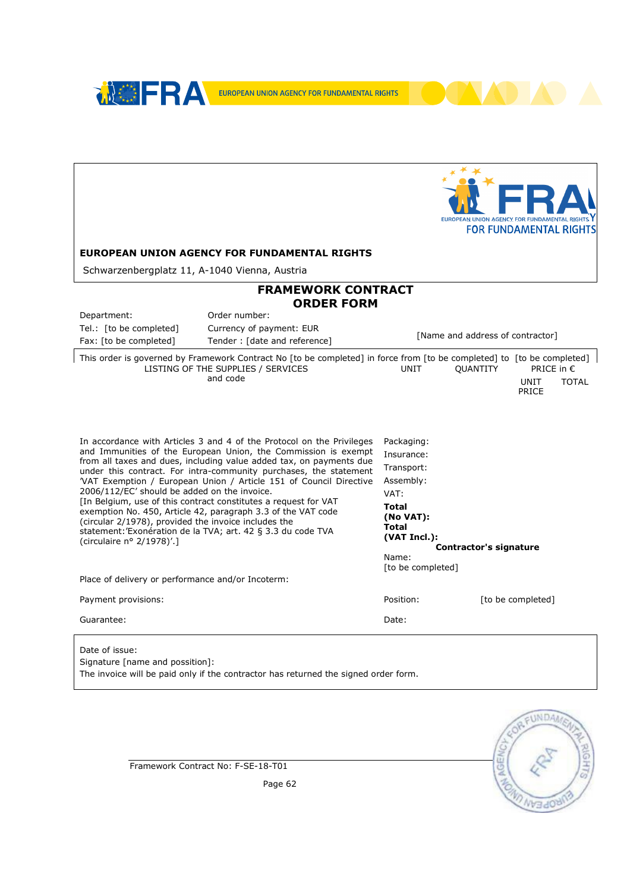

Signature [name and possition]: The invoice will be paid only if the contractor has returned the signed order form.



Framework Contract No: F-SE-18-T01

Page 62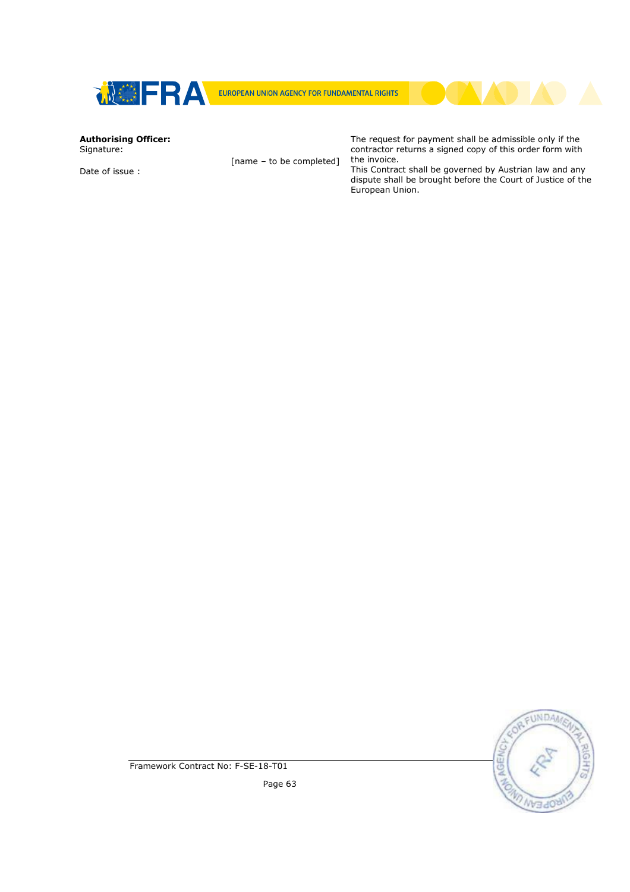



# Authorising Officer:

Signature:

Date of issue :

[name – to be completed]

The request for payment shall be admissible only if the contractor returns a signed copy of this order form with the invoice. This Contract shall be governed by Austrian law and any

dispute shall be brought before the Court of Justice of the European Union.

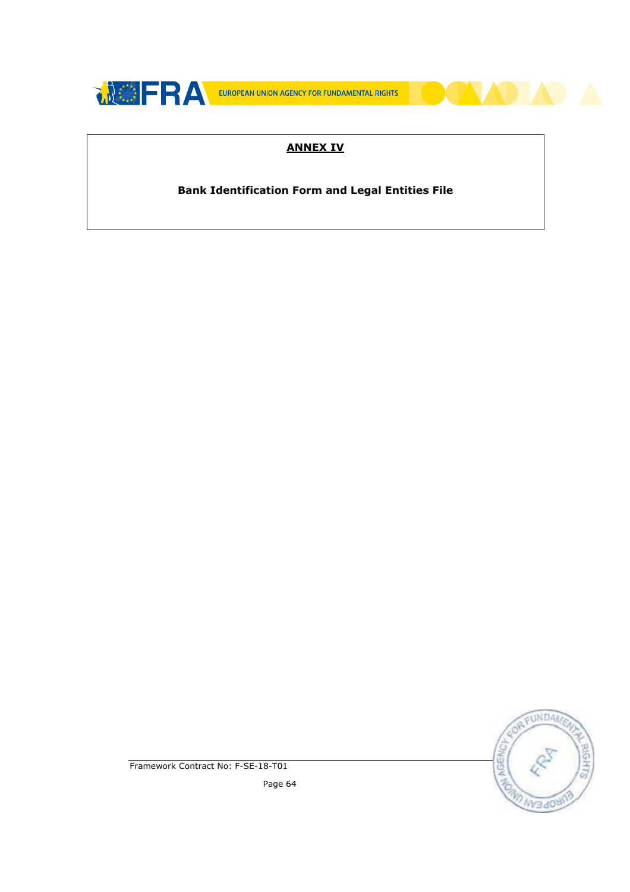

## ANNEX IV

#### Bank Identification Form and Legal Entities File



Framework Contract No: F-SE-18-T01

Page 64